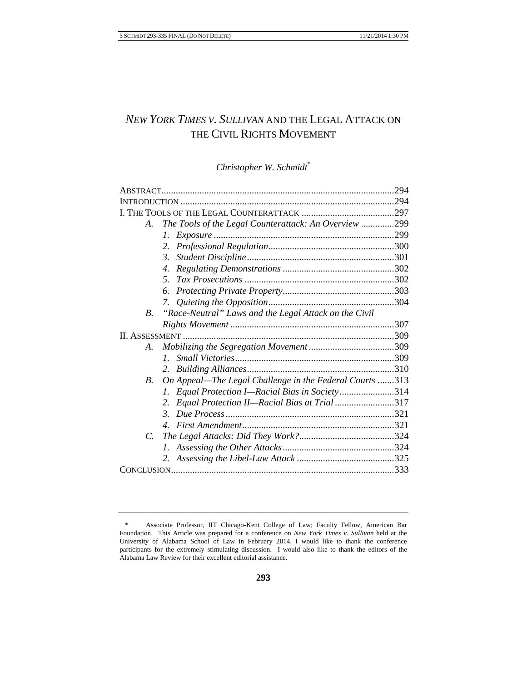# *NEW YORK TIMES V. SULLIVAN* AND THE LEGAL ATTACK ON THE CIVIL RIGHTS MOVEMENT

# *Christopher W. Schmidt*\*

|                  |                                                         | .294 |
|------------------|---------------------------------------------------------|------|
|                  |                                                         |      |
|                  |                                                         |      |
| A.               | The Tools of the Legal Counterattack: An Overview 299   |      |
|                  | Ι.                                                      |      |
|                  | 2.                                                      |      |
|                  | 3.                                                      |      |
|                  | 4.                                                      |      |
|                  | 5.                                                      |      |
|                  | 6.                                                      |      |
|                  | 7.                                                      |      |
| $\overline{B}$ . | "Race-Neutral" Laws and the Legal Attack on the Civil   |      |
|                  |                                                         |      |
|                  |                                                         |      |
| А.               |                                                         |      |
|                  | $l_{\rm{}}$                                             |      |
|                  | 2.                                                      |      |
| B.               | On Appeal-The Legal Challenge in the Federal Courts 313 |      |
|                  | Equal Protection I-Racial Bias in Society314<br>7.      |      |
|                  | Equal Protection II-Racial Bias at Trial 317            |      |
|                  | $\mathcal{E}$                                           |      |
|                  |                                                         |      |
| $\mathcal{C}$    |                                                         |      |
|                  |                                                         |      |
|                  |                                                         |      |
|                  |                                                         |      |
|                  |                                                         |      |

<sup>\*</sup> Associate Professor, IIT Chicago-Kent College of Law; Faculty Fellow, American Bar Foundation. This Article was prepared for a conference on *New York Times v. Sullivan* held at the University of Alabama School of Law in February 2014. I would like to thank the conference participants for the extremely stimulating discussion. I would also like to thank the editors of the Alabama Law Review for their excellent editorial assistance.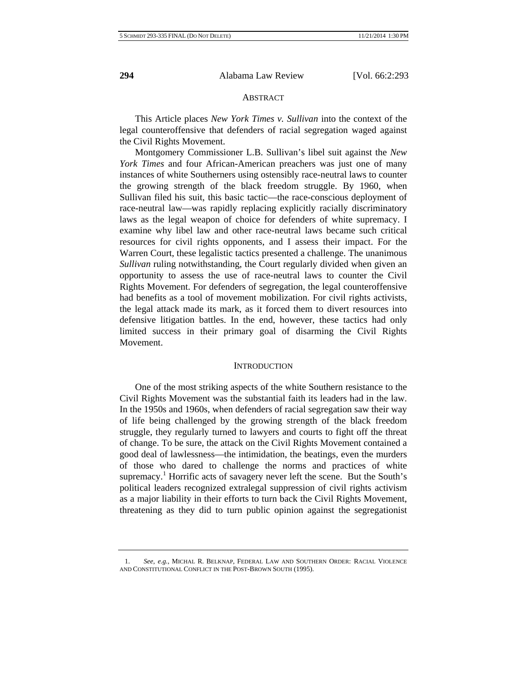#### **ABSTRACT**

This Article places *New York Times v. Sullivan* into the context of the legal counteroffensive that defenders of racial segregation waged against the Civil Rights Movement.

Montgomery Commissioner L.B. Sullivan's libel suit against the *New York Times* and four African-American preachers was just one of many instances of white Southerners using ostensibly race-neutral laws to counter the growing strength of the black freedom struggle. By 1960, when Sullivan filed his suit, this basic tactic—the race-conscious deployment of race-neutral law—was rapidly replacing explicitly racially discriminatory laws as the legal weapon of choice for defenders of white supremacy. I examine why libel law and other race-neutral laws became such critical resources for civil rights opponents, and I assess their impact. For the Warren Court, these legalistic tactics presented a challenge. The unanimous *Sullivan* ruling notwithstanding, the Court regularly divided when given an opportunity to assess the use of race-neutral laws to counter the Civil Rights Movement. For defenders of segregation, the legal counteroffensive had benefits as a tool of movement mobilization. For civil rights activists, the legal attack made its mark, as it forced them to divert resources into defensive litigation battles. In the end, however, these tactics had only limited success in their primary goal of disarming the Civil Rights Movement.

# **INTRODUCTION**

One of the most striking aspects of the white Southern resistance to the Civil Rights Movement was the substantial faith its leaders had in the law. In the 1950s and 1960s, when defenders of racial segregation saw their way of life being challenged by the growing strength of the black freedom struggle, they regularly turned to lawyers and courts to fight off the threat of change. To be sure, the attack on the Civil Rights Movement contained a good deal of lawlessness—the intimidation, the beatings, even the murders of those who dared to challenge the norms and practices of white supremacy.<sup>1</sup> Horrific acts of savagery never left the scene. But the South's political leaders recognized extralegal suppression of civil rights activism as a major liability in their efforts to turn back the Civil Rights Movement, threatening as they did to turn public opinion against the segregationist

<sup>1.</sup> *See, e.g.*, MICHAL R. BELKNAP, FEDERAL LAW AND SOUTHERN ORDER: RACIAL VIOLENCE AND CONSTITUTIONAL CONFLICT IN THE POST-BROWN SOUTH (1995).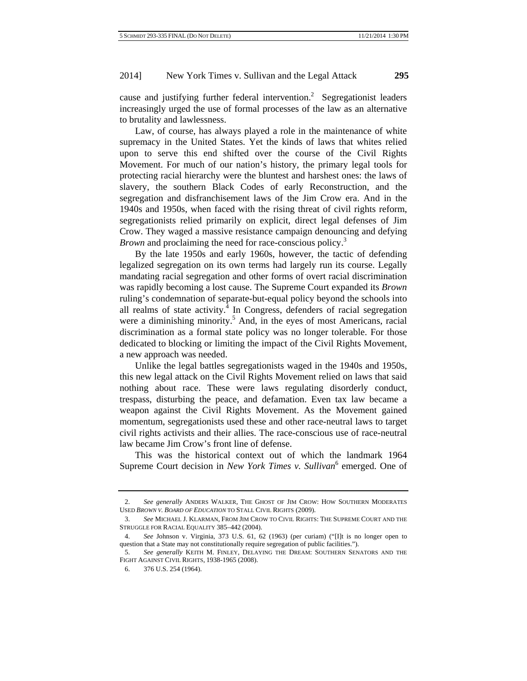cause and justifying further federal intervention.<sup>2</sup> Segregationist leaders increasingly urged the use of formal processes of the law as an alternative to brutality and lawlessness.

Law, of course, has always played a role in the maintenance of white supremacy in the United States. Yet the kinds of laws that whites relied upon to serve this end shifted over the course of the Civil Rights Movement. For much of our nation's history, the primary legal tools for protecting racial hierarchy were the bluntest and harshest ones: the laws of slavery, the southern Black Codes of early Reconstruction, and the segregation and disfranchisement laws of the Jim Crow era. And in the 1940s and 1950s, when faced with the rising threat of civil rights reform, segregationists relied primarily on explicit, direct legal defenses of Jim Crow. They waged a massive resistance campaign denouncing and defying *Brown* and proclaiming the need for race-conscious policy.<sup>3</sup>

By the late 1950s and early 1960s, however, the tactic of defending legalized segregation on its own terms had largely run its course. Legally mandating racial segregation and other forms of overt racial discrimination was rapidly becoming a lost cause. The Supreme Court expanded its *Brown* ruling's condemnation of separate-but-equal policy beyond the schools into all realms of state activity. $4$  In Congress, defenders of racial segregation were a diminishing minority.<sup>5</sup> And, in the eyes of most Americans, racial discrimination as a formal state policy was no longer tolerable. For those dedicated to blocking or limiting the impact of the Civil Rights Movement, a new approach was needed.

Unlike the legal battles segregationists waged in the 1940s and 1950s, this new legal attack on the Civil Rights Movement relied on laws that said nothing about race. These were laws regulating disorderly conduct, trespass, disturbing the peace, and defamation. Even tax law became a weapon against the Civil Rights Movement. As the Movement gained momentum, segregationists used these and other race-neutral laws to target civil rights activists and their allies. The race-conscious use of race-neutral law became Jim Crow's front line of defense.

This was the historical context out of which the landmark 1964 Supreme Court decision in *New York Times v. Sullivan*<sup>6</sup> emerged. One of

<sup>2.</sup> *See generally* ANDERS WALKER, THE GHOST OF JIM CROW: HOW SOUTHERN MODERATES USED *BROWN V. BOARD OF EDUCATION* TO STALL CIVIL RIGHTS (2009).

<sup>3.</sup> *See* MICHAEL J. KLARMAN, FROM JIM CROW TO CIVIL RIGHTS: THE SUPREME COURT AND THE STRUGGLE FOR RACIAL EQUALITY 385–442 (2004).

<sup>4.</sup> *See* Johnson v. Virginia, 373 U.S. 61, 62 (1963) (per curiam) ("[I]t is no longer open to question that a State may not constitutionally require segregation of public facilities.").

<sup>5.</sup> *See generally* KEITH M. FINLEY, DELAYING THE DREAM: SOUTHERN SENATORS AND THE FIGHT AGAINST CIVIL RIGHTS, 1938-1965 (2008).

<sup>6. 376</sup> U.S. 254 (1964).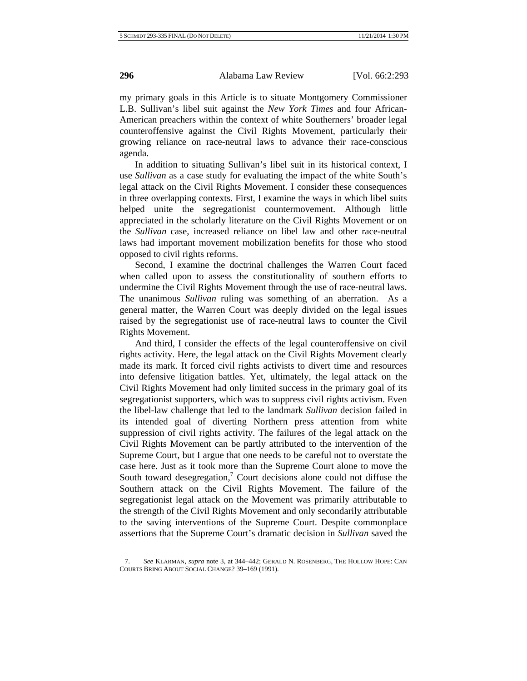my primary goals in this Article is to situate Montgomery Commissioner L.B. Sullivan's libel suit against the *New York Times* and four African-American preachers within the context of white Southerners' broader legal counteroffensive against the Civil Rights Movement, particularly their growing reliance on race-neutral laws to advance their race-conscious agenda.

In addition to situating Sullivan's libel suit in its historical context, I use *Sullivan* as a case study for evaluating the impact of the white South's legal attack on the Civil Rights Movement. I consider these consequences in three overlapping contexts. First, I examine the ways in which libel suits helped unite the segregationist countermovement. Although little appreciated in the scholarly literature on the Civil Rights Movement or on the *Sullivan* case, increased reliance on libel law and other race-neutral laws had important movement mobilization benefits for those who stood opposed to civil rights reforms.

Second, I examine the doctrinal challenges the Warren Court faced when called upon to assess the constitutionality of southern efforts to undermine the Civil Rights Movement through the use of race-neutral laws. The unanimous *Sullivan* ruling was something of an aberration. As a general matter, the Warren Court was deeply divided on the legal issues raised by the segregationist use of race-neutral laws to counter the Civil Rights Movement.

And third, I consider the effects of the legal counteroffensive on civil rights activity. Here, the legal attack on the Civil Rights Movement clearly made its mark. It forced civil rights activists to divert time and resources into defensive litigation battles. Yet, ultimately, the legal attack on the Civil Rights Movement had only limited success in the primary goal of its segregationist supporters, which was to suppress civil rights activism. Even the libel-law challenge that led to the landmark *Sullivan* decision failed in its intended goal of diverting Northern press attention from white suppression of civil rights activity. The failures of the legal attack on the Civil Rights Movement can be partly attributed to the intervention of the Supreme Court, but I argue that one needs to be careful not to overstate the case here. Just as it took more than the Supreme Court alone to move the South toward desegregation,<sup>7</sup> Court decisions alone could not diffuse the Southern attack on the Civil Rights Movement. The failure of the segregationist legal attack on the Movement was primarily attributable to the strength of the Civil Rights Movement and only secondarily attributable to the saving interventions of the Supreme Court. Despite commonplace assertions that the Supreme Court's dramatic decision in *Sullivan* saved the

<sup>7.</sup> *See* KLARMAN, *supra* note 3, at 344–442; GERALD N. ROSENBERG, THE HOLLOW HOPE: CAN COURTS BRING ABOUT SOCIAL CHANGE? 39–169 (1991).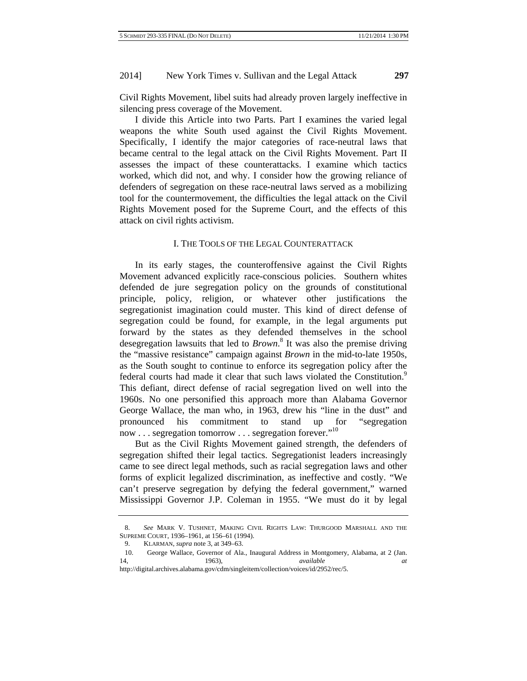Civil Rights Movement, libel suits had already proven largely ineffective in silencing press coverage of the Movement.

I divide this Article into two Parts. Part I examines the varied legal weapons the white South used against the Civil Rights Movement. Specifically, I identify the major categories of race-neutral laws that became central to the legal attack on the Civil Rights Movement. Part II assesses the impact of these counterattacks. I examine which tactics worked, which did not, and why. I consider how the growing reliance of defenders of segregation on these race-neutral laws served as a mobilizing tool for the countermovement, the difficulties the legal attack on the Civil Rights Movement posed for the Supreme Court, and the effects of this attack on civil rights activism.

# I. THE TOOLS OF THE LEGAL COUNTERATTACK

In its early stages, the counteroffensive against the Civil Rights Movement advanced explicitly race-conscious policies. Southern whites defended de jure segregation policy on the grounds of constitutional principle, policy, religion, or whatever other justifications the segregationist imagination could muster. This kind of direct defense of segregation could be found, for example, in the legal arguments put forward by the states as they defended themselves in the school desegregation lawsuits that led to *Brown*. 8 It was also the premise driving the "massive resistance" campaign against *Brown* in the mid-to-late 1950s, as the South sought to continue to enforce its segregation policy after the federal courts had made it clear that such laws violated the Constitution.<sup>9</sup> This defiant, direct defense of racial segregation lived on well into the 1960s. No one personified this approach more than Alabama Governor George Wallace, the man who, in 1963, drew his "line in the dust" and pronounced his commitment to stand up for "segregation now . . . segregation tomorrow . . . segregation forever."10

But as the Civil Rights Movement gained strength, the defenders of segregation shifted their legal tactics. Segregationist leaders increasingly came to see direct legal methods, such as racial segregation laws and other forms of explicit legalized discrimination, as ineffective and costly. "We can't preserve segregation by defying the federal government," warned Mississippi Governor J.P. Coleman in 1955. "We must do it by legal

<sup>8.</sup> *See* MARK V. TUSHNET, MAKING CIVIL RIGHTS LAW: THURGOOD MARSHALL AND THE SUPREME COURT, 1936–1961, at 156–61 (1994).

<sup>9.</sup> KLARMAN, *supra* note 3, at 349–63.

<sup>10.</sup> George Wallace, Governor of Ala., Inaugural Address in Montgomery, Alabama, at 2 (Jan. 14, 1963), *available at*

http://digital.archives.alabama.gov/cdm/singleitem/collection/voices/id/2952/rec/5.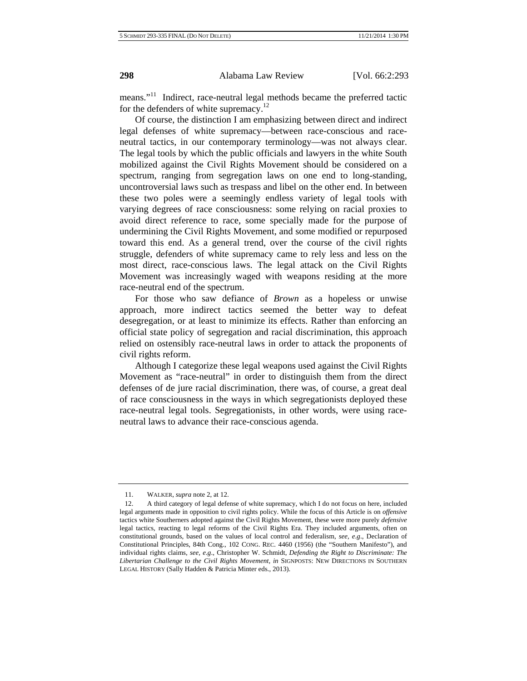means."<sup>11</sup> Indirect, race-neutral legal methods became the preferred tactic for the defenders of white supremacy.<sup>12</sup>

Of course, the distinction I am emphasizing between direct and indirect legal defenses of white supremacy—between race-conscious and raceneutral tactics, in our contemporary terminology—was not always clear. The legal tools by which the public officials and lawyers in the white South mobilized against the Civil Rights Movement should be considered on a spectrum, ranging from segregation laws on one end to long-standing, uncontroversial laws such as trespass and libel on the other end. In between these two poles were a seemingly endless variety of legal tools with varying degrees of race consciousness: some relying on racial proxies to avoid direct reference to race, some specially made for the purpose of undermining the Civil Rights Movement, and some modified or repurposed toward this end. As a general trend, over the course of the civil rights struggle, defenders of white supremacy came to rely less and less on the most direct, race-conscious laws. The legal attack on the Civil Rights Movement was increasingly waged with weapons residing at the more race-neutral end of the spectrum.

For those who saw defiance of *Brown* as a hopeless or unwise approach, more indirect tactics seemed the better way to defeat desegregation, or at least to minimize its effects. Rather than enforcing an official state policy of segregation and racial discrimination, this approach relied on ostensibly race-neutral laws in order to attack the proponents of civil rights reform.

Although I categorize these legal weapons used against the Civil Rights Movement as "race-neutral" in order to distinguish them from the direct defenses of de jure racial discrimination, there was, of course, a great deal of race consciousness in the ways in which segregationists deployed these race-neutral legal tools. Segregationists, in other words, were using raceneutral laws to advance their race-conscious agenda.

<sup>11.</sup> WALKER, *supra* note 2, at 12.

<sup>12.</sup> A third category of legal defense of white supremacy, which I do not focus on here, included legal arguments made in opposition to civil rights policy. While the focus of this Article is on *offensive* tactics white Southerners adopted against the Civil Rights Movement, these were more purely *defensive* legal tactics, reacting to legal reforms of the Civil Rights Era. They included arguments, often on constitutional grounds, based on the values of local control and federalism, *see, e*.*g*., Declaration of Constitutional Principles, 84th Cong., 102 CONG. REC. 4460 (1956) (the "Southern Manifesto"), and individual rights claims, *see, e*.*g*., Christopher W. Schmidt, *Defending the Right to Discriminate: The Libertarian Challenge to the Civil Rights Movement*, *in* SIGNPOSTS: NEW DIRECTIONS IN SOUTHERN LEGAL HISTORY (Sally Hadden & Patricia Minter eds., 2013).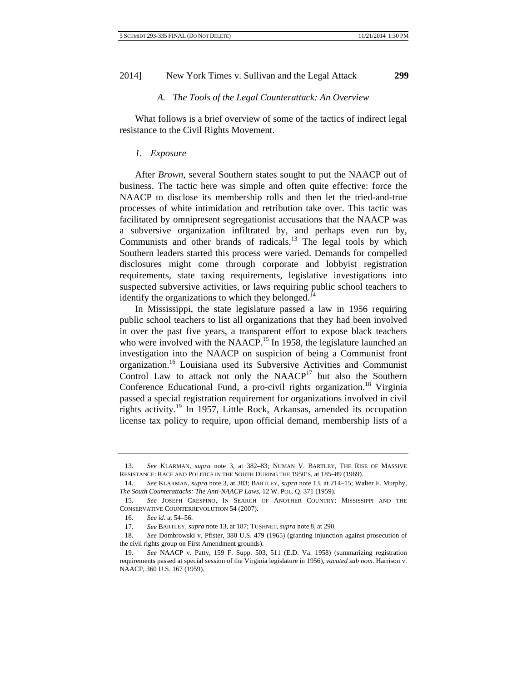# *A. The Tools of the Legal Counterattack: An Overview*

What follows is a brief overview of some of the tactics of indirect legal resistance to the Civil Rights Movement.

#### *1. Exposure*

After *Brown*, several Southern states sought to put the NAACP out of business. The tactic here was simple and often quite effective: force the NAACP to disclose its membership rolls and then let the tried-and-true processes of white intimidation and retribution take over. This tactic was facilitated by omnipresent segregationist accusations that the NAACP was a subversive organization infiltrated by, and perhaps even run by, Communists and other brands of radicals.<sup>13</sup> The legal tools by which Southern leaders started this process were varied. Demands for compelled disclosures might come through corporate and lobbyist registration requirements, state taxing requirements, legislative investigations into suspected subversive activities, or laws requiring public school teachers to identify the organizations to which they belonged. $^{14}$ 

In Mississippi, the state legislature passed a law in 1956 requiring public school teachers to list all organizations that they had been involved in over the past five years, a transparent effort to expose black teachers who were involved with the NAACP.<sup>15</sup> In 1958, the legislature launched an investigation into the NAACP on suspicion of being a Communist front organization.16 Louisiana used its Subversive Activities and Communist Control Law to attack not only the  $NAACP<sup>17</sup>$  but also the Southern Conference Educational Fund, a pro-civil rights organization.<sup>18</sup> Virginia passed a special registration requirement for organizations involved in civil rights activity.<sup>19</sup> In 1957, Little Rock, Arkansas, amended its occupation license tax policy to require, upon official demand, membership lists of a

<sup>13.</sup> *See* KLARMAN, *supra* note 3, at 382–83; NUMAN V. BARTLEY, THE RISE OF MASSIVE RESISTANCE: RACE AND POLITICS IN THE SOUTH DURING THE 1950'S, at 185–89 (1969).

<sup>14.</sup> *See* KLARMAN, *supra* note 3, at 383; BARTLEY, *supra* note 13, at 214–15; Walter F. Murphy, *The South Counterattacks: The Anti-NAACP Laws*, 12 W. POL. Q. 371 (1959).

<sup>15.</sup> *See* JOSEPH CRESPINO, IN SEARCH OF ANOTHER COUNTRY: MISSISSIPPI AND THE CONSERVATIVE COUNTERREVOLUTION 54 (2007).

<sup>16.</sup> *See id*. at 54–56.

<sup>17.</sup> *See* BARTLEY, *supra* note 13, at 187; TUSHNET, *supra* note 8, at 290.

<sup>18.</sup> *See* Dombrowski v. Pfister, 380 U.S. 479 (1965) (granting injunction against prosecution of the civil rights group on First Amendment grounds).

<sup>19.</sup> *See* NAACP v. Patty, 159 F. Supp. 503, 511 (E.D. Va. 1958) (summarizing registration requirements passed at special session of the Virginia legislature in 1956), *vacated sub nom*. Harrison v. NAACP, 360 U.S. 167 (1959).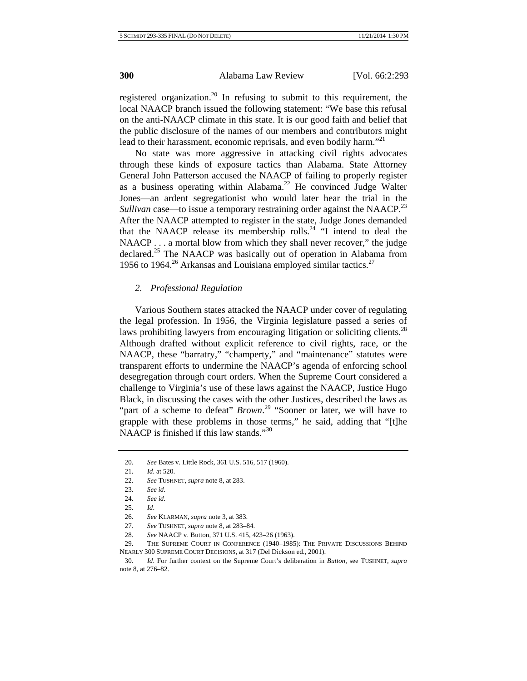registered organization.<sup>20</sup> In refusing to submit to this requirement, the local NAACP branch issued the following statement: "We base this refusal on the anti-NAACP climate in this state. It is our good faith and belief that the public disclosure of the names of our members and contributors might lead to their harassment, economic reprisals, and even bodily harm."<sup>21</sup>

No state was more aggressive in attacking civil rights advocates through these kinds of exposure tactics than Alabama. State Attorney General John Patterson accused the NAACP of failing to properly register as a business operating within Alabama.22 He convinced Judge Walter Jones—an ardent segregationist who would later hear the trial in the *Sullivan* case—to issue a temporary restraining order against the NAACP.<sup>23</sup> After the NAACP attempted to register in the state, Judge Jones demanded that the NAACP release its membership rolls.<sup>24</sup> "I intend to deal the NAACP . . . a mortal blow from which they shall never recover," the judge declared.<sup>25</sup> The NAACP was basically out of operation in Alabama from 1956 to 1964.<sup>26</sup> Arkansas and Louisiana employed similar tactics.<sup>27</sup>

# *2. Professional Regulation*

Various Southern states attacked the NAACP under cover of regulating the legal profession. In 1956, the Virginia legislature passed a series of laws prohibiting lawyers from encouraging litigation or soliciting clients.<sup>28</sup> Although drafted without explicit reference to civil rights, race, or the NAACP, these "barratry," "champerty," and "maintenance" statutes were transparent efforts to undermine the NAACP's agenda of enforcing school desegregation through court orders. When the Supreme Court considered a challenge to Virginia's use of these laws against the NAACP, Justice Hugo Black, in discussing the cases with the other Justices, described the laws as "part of a scheme to defeat" *Brown*.<sup>29</sup> "Sooner or later, we will have to grapple with these problems in those terms," he said, adding that "[t]he NAACP is finished if this law stands."<sup>30</sup>

<sup>20.</sup> *See* Bates v. Little Rock, 361 U.S. 516, 517 (1960).

<sup>21.</sup> *Id*. at 520.

<sup>22.</sup> *See* TUSHNET, *supra* note 8, at 283.

<sup>23.</sup> *See id*.

<sup>24.</sup> *See id*.

<sup>25.</sup> *Id*.

<sup>26.</sup> *See* KLARMAN, *supra* note 3, at 383.

<sup>27.</sup> *See* TUSHNET, *supra* note 8, at 283–84.

<sup>28.</sup> *See* NAACP v. Button, 371 U.S. 415, 423–26 (1963).

<sup>29.</sup> THE SUPREME COURT IN CONFERENCE (1940–1985): THE PRIVATE DISCUSSIONS BEHIND NEARLY 300 SUPREME COURT DECISIONS, at 317 (Del Dickson ed., 2001).

<sup>30.</sup> *Id*. For further context on the Supreme Court's deliberation in *Button*, see TUSHNET, *supra* note 8, at 276–82.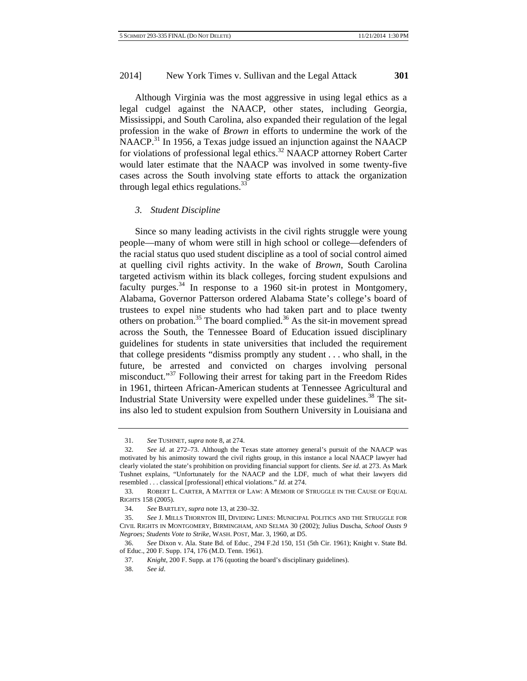Although Virginia was the most aggressive in using legal ethics as a legal cudgel against the NAACP, other states, including Georgia, Mississippi, and South Carolina, also expanded their regulation of the legal profession in the wake of *Brown* in efforts to undermine the work of the NAACP.<sup>31</sup> In 1956, a Texas judge issued an injunction against the NAACP for violations of professional legal ethics.<sup>32</sup> NAACP attorney Robert Carter would later estimate that the NAACP was involved in some twenty-five cases across the South involving state efforts to attack the organization through legal ethics regulations.<sup>33</sup>

#### *3. Student Discipline*

Since so many leading activists in the civil rights struggle were young people—many of whom were still in high school or college—defenders of the racial status quo used student discipline as a tool of social control aimed at quelling civil rights activity. In the wake of *Brown*, South Carolina targeted activism within its black colleges, forcing student expulsions and faculty purges.<sup>34</sup> In response to a 1960 sit-in protest in Montgomery, Alabama, Governor Patterson ordered Alabama State's college's board of trustees to expel nine students who had taken part and to place twenty others on probation.35 The board complied.36 As the sit-in movement spread across the South, the Tennessee Board of Education issued disciplinary guidelines for students in state universities that included the requirement that college presidents "dismiss promptly any student . . . who shall, in the future, be arrested and convicted on charges involving personal misconduct."<sup>37</sup> Following their arrest for taking part in the Freedom Rides in 1961, thirteen African-American students at Tennessee Agricultural and Industrial State University were expelled under these guidelines.<sup>38</sup> The sitins also led to student expulsion from Southern University in Louisiana and

<sup>31.</sup> *See* TUSHNET, *supra* note 8, at 274.

<sup>32.</sup> *See id*. at 272–73. Although the Texas state attorney general's pursuit of the NAACP was motivated by his animosity toward the civil rights group, in this instance a local NAACP lawyer had clearly violated the state's prohibition on providing financial support for clients. *See id*. at 273. As Mark Tushnet explains, "Unfortunately for the NAACP and the LDF, much of what their lawyers did resembled . . . classical [professional] ethical violations." *Id*. at 274.

<sup>33.</sup> ROBERT L. CARTER, A MATTER OF LAW : A MEMOIR OF STRUGGLE IN THE CAUSE OF EQUAL RIGHTS 158 (2005).

<sup>34.</sup> *See* BARTLEY, *supra* note 13, at 230–32.

<sup>35.</sup> *See* J. MILLS THORNTON III, DIVIDING LINES: MUNICIPAL POLITICS AND THE STRUGGLE FOR CIVIL RIGHTS IN MONTGOMERY, BIRMINGHAM, AND SELMA 30 (2002); Julius Duscha, *School Ousts 9 Negroes; Students Vote to Strike*, WASH. POST, Mar. 3, 1960, at D5.

<sup>36.</sup> *See* Dixon v. Ala. State Bd. of Educ.¸ 294 F.2d 150, 151 (5th Cir. 1961); Knight v. State Bd. of Educ., 200 F. Supp. 174, 176 (M.D. Tenn. 1961).

<sup>37.</sup> *Knight*, 200 F. Supp. at 176 (quoting the board's disciplinary guidelines).

<sup>38.</sup> *See id*.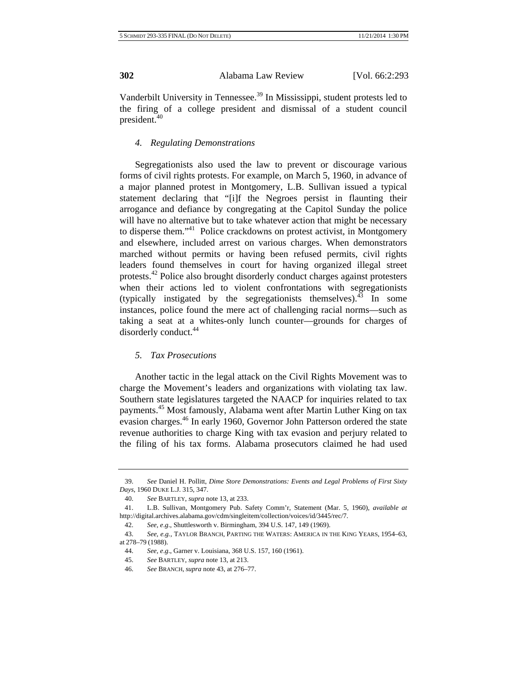Vanderbilt University in Tennessee.<sup>39</sup> In Mississippi, student protests led to the firing of a college president and dismissal of a student council president.<sup>40</sup>

# *4. Regulating Demonstrations*

Segregationists also used the law to prevent or discourage various forms of civil rights protests. For example, on March 5, 1960, in advance of a major planned protest in Montgomery, L.B. Sullivan issued a typical statement declaring that "[i]f the Negroes persist in flaunting their arrogance and defiance by congregating at the Capitol Sunday the police will have no alternative but to take whatever action that might be necessary to disperse them."<sup>41</sup> Police crackdowns on protest activist, in Montgomery and elsewhere, included arrest on various charges. When demonstrators marched without permits or having been refused permits, civil rights leaders found themselves in court for having organized illegal street protests.42 Police also brought disorderly conduct charges against protesters when their actions led to violent confrontations with segregationists (typically instigated by the segregationists themselves). $43$  In some instances, police found the mere act of challenging racial norms—such as taking a seat at a whites-only lunch counter—grounds for charges of disorderly conduct.<sup>44</sup>

#### *5. Tax Prosecutions*

Another tactic in the legal attack on the Civil Rights Movement was to charge the Movement's leaders and organizations with violating tax law. Southern state legislatures targeted the NAACP for inquiries related to tax payments.45 Most famously, Alabama went after Martin Luther King on tax evasion charges.<sup>46</sup> In early 1960, Governor John Patterson ordered the state revenue authorities to charge King with tax evasion and perjury related to the filing of his tax forms. Alabama prosecutors claimed he had used

<sup>39.</sup> *See* Daniel H. Pollitt, *Dime Store Demonstrations: Events and Legal Problems of First Sixty Days*, 1960 DUKE L.J. 315, 347.

<sup>40.</sup> *See* BARTLEY, *supra* note 13, at 233.

<sup>41.</sup> L.B. Sullivan, Montgomery Pub. Safety Comm'r, Statement (Mar. 5, 1960), *available at* http://digital.archives.alabama.gov/cdm/singleitem/collection/voices/id/3445/rec/7.

<sup>42.</sup> *See, e*.*g*., Shuttlesworth v. Birmingham, 394 U.S. 147, 149 (1969).

<sup>43.</sup> *See, e.g.*, TAYLOR BRANCH, PARTING THE WATERS: AMERICA IN THE KING YEARS, 1954–63, at 278–79 (1988).

<sup>44.</sup> *See, e*.*g*., Garner v. Louisiana, 368 U.S. 157, 160 (1961).

<sup>45.</sup> *See* BARTLEY, *supra* note 13, at 213.

<sup>46.</sup> *See* BRANCH, *supra* note 43, at 276–77.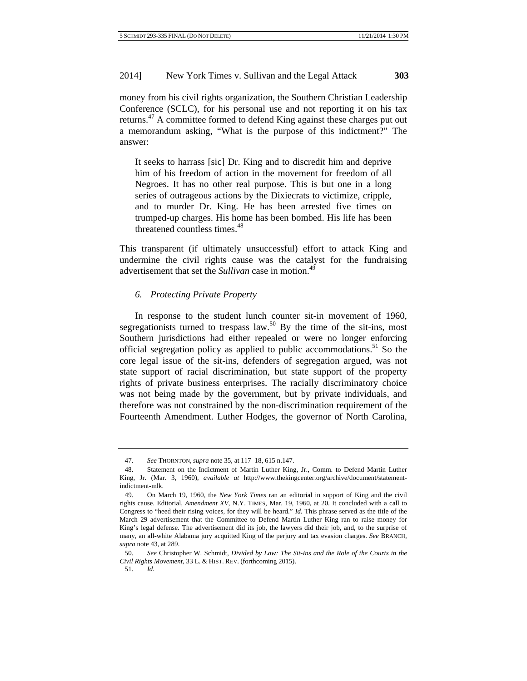money from his civil rights organization, the Southern Christian Leadership Conference (SCLC), for his personal use and not reporting it on his tax returns.<sup>47</sup> A committee formed to defend King against these charges put out a memorandum asking, "What is the purpose of this indictment?" The answer:

It seeks to harrass [sic] Dr. King and to discredit him and deprive him of his freedom of action in the movement for freedom of all Negroes. It has no other real purpose. This is but one in a long series of outrageous actions by the Dixiecrats to victimize, cripple, and to murder Dr. King. He has been arrested five times on trumped-up charges. His home has been bombed. His life has been threatened countless times.<sup>48</sup>

This transparent (if ultimately unsuccessful) effort to attack King and undermine the civil rights cause was the catalyst for the fundraising advertisement that set the *Sullivan* case in motion.<sup>49</sup>

#### *6. Protecting Private Property*

In response to the student lunch counter sit-in movement of 1960, segregationists turned to trespass law.<sup>50</sup> By the time of the sit-ins, most Southern jurisdictions had either repealed or were no longer enforcing official segregation policy as applied to public accommodations.<sup>51</sup> So the core legal issue of the sit-ins, defenders of segregation argued, was not state support of racial discrimination, but state support of the property rights of private business enterprises. The racially discriminatory choice was not being made by the government, but by private individuals, and therefore was not constrained by the non-discrimination requirement of the Fourteenth Amendment. Luther Hodges, the governor of North Carolina,

<sup>47.</sup> *See* THORNTON, *supra* note 35, at 117–18, 615 n.147.

<sup>48.</sup> Statement on the Indictment of Martin Luther King, Jr., Comm. to Defend Martin Luther King, Jr. (Mar. 3, 1960), *available at* http://www.thekingcenter.org/archive/document/statementindictment-mlk.

<sup>49.</sup> On March 19, 1960, the *New York Times* ran an editorial in support of King and the civil rights cause. Editorial, *Amendment XV*, N.Y. TIMES, Mar. 19, 1960, at 20. It concluded with a call to Congress to "heed their rising voices, for they will be heard." *Id*. This phrase served as the title of the March 29 advertisement that the Committee to Defend Martin Luther King ran to raise money for King's legal defense. The advertisement did its job, the lawyers did their job, and, to the surprise of many, an all-white Alabama jury acquitted King of the perjury and tax evasion charges. *See* BRANCH, *supra* note 43, at 289.

<sup>50.</sup> *See* Christopher W. Schmidt, *Divided by Law: The Sit-Ins and the Role of the Courts in the Civil Rights Movement*, 33 L. & HIST. REV. (forthcoming 2015).

<sup>51.</sup> *Id.*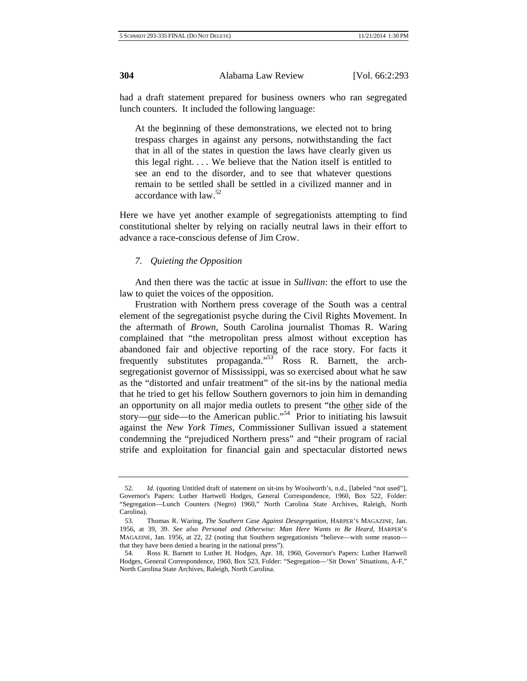had a draft statement prepared for business owners who ran segregated lunch counters. It included the following language:

At the beginning of these demonstrations, we elected not to bring trespass charges in against any persons, notwithstanding the fact that in all of the states in question the laws have clearly given us this legal right. . . . We believe that the Nation itself is entitled to see an end to the disorder, and to see that whatever questions remain to be settled shall be settled in a civilized manner and in accordance with law.52

Here we have yet another example of segregationists attempting to find constitutional shelter by relying on racially neutral laws in their effort to advance a race-conscious defense of Jim Crow.

# *7. Quieting the Opposition*

And then there was the tactic at issue in *Sullivan*: the effort to use the law to quiet the voices of the opposition.

Frustration with Northern press coverage of the South was a central element of the segregationist psyche during the Civil Rights Movement. In the aftermath of *Brown*, South Carolina journalist Thomas R. Waring complained that "the metropolitan press almost without exception has abandoned fair and objective reporting of the race story. For facts it frequently substitutes propaganda."53 Ross R. Barnett, the archsegregationist governor of Mississippi, was so exercised about what he saw as the "distorted and unfair treatment" of the sit-ins by the national media that he tried to get his fellow Southern governors to join him in demanding an opportunity on all major media outlets to present "the other side of the story—our side—to the American public."<sup>54</sup> Prior to initiating his lawsuit against the *New York Times*, Commissioner Sullivan issued a statement condemning the "prejudiced Northern press" and "their program of racial strife and exploitation for financial gain and spectacular distorted news

<sup>52.</sup> *Id.* (quoting Untitled draft of statement on sit-ins by Woolworth's, n.d., [labeled "not used"], Governor's Papers: Luther Hartwell Hodges, General Correspondence, 1960, Box 522, Folder: "Segregation—Lunch Counters (Negro) 1960," North Carolina State Archives, Raleigh, North Carolina).

<sup>53.</sup> Thomas R. Waring, *The Southern Case Against Desegregation,* HARPER'S MAGAZINE, Jan. 1956, at 39, 39. *See also Personal and Otherwise: Man Here Wants to Be Heard,* HARPER'S MAGAZINE, Jan. 1956, at 22, 22 (noting that Southern segregationists "believe—with some reason that they have been denied a hearing in the national press").

<sup>54.</sup> Ross R. Barnett to Luther H. Hodges, Apr. 18, 1960, Governor's Papers: Luther Hartwell Hodges, General Correspondence, 1960, Box 523, Folder: "Segregation—'Sit Down' Situations, A-F," North Carolina State Archives, Raleigh, North Carolina.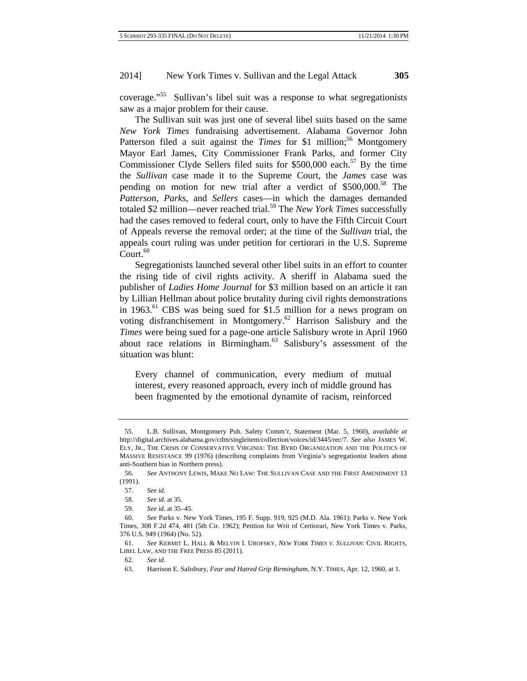coverage."55 Sullivan's libel suit was a response to what segregationists saw as a major problem for their cause.

The Sullivan suit was just one of several libel suits based on the same *New York Times* fundraising advertisement. Alabama Governor John Patterson filed a suit against the *Times* for \$1 million;<sup>56</sup> Montgomery Mayor Earl James, City Commissioner Frank Parks, and former City Commissioner Clyde Sellers filed suits for  $$500,000$  each.<sup>57</sup> By the time the *Sullivan* case made it to the Supreme Court, the *James* case was pending on motion for new trial after a verdict of  $$500,000$ <sup>58</sup>. The *Patterson*, *Parks*, and *Sellers* cases—in which the damages demanded totaled \$2 million—never reached trial.<sup>59</sup> The *New York Times* successfully had the cases removed to federal court, only to have the Fifth Circuit Court of Appeals reverse the removal order; at the time of the *Sullivan* trial, the appeals court ruling was under petition for certiorari in the U.S. Supreme Court.<sup>60</sup>

Segregationists launched several other libel suits in an effort to counter the rising tide of civil rights activity. A sheriff in Alabama sued the publisher of *Ladies Home Journal* for \$3 million based on an article it ran by Lillian Hellman about police brutality during civil rights demonstrations in 1963.<sup>61</sup> CBS was being sued for \$1.5 million for a news program on voting disfranchisement in Montgomery.62 Harrison Salisbury and the *Times* were being sued for a page-one article Salisbury wrote in April 1960 about race relations in Birmingham.63 Salisbury's assessment of the situation was blunt:

Every channel of communication, every medium of mutual interest, every reasoned approach, every inch of middle ground has been fragmented by the emotional dynamite of racism, reinforced

<sup>55.</sup> L.B. Sullivan, Montgomery Pub. Safety Comm'r, Statement (Mar. 5, 1960), *available at* http://digital.archives.alabama.gov/cdm/singleitem/collection/voices/id/3445/rec/7. *See also* JAMES W. ELY, JR., THE CRISIS OF CONSERVATIVE VIRGINIA: THE BYRD ORGANIZATION AND THE POLITICS OF MASSIVE RESISTANCE 99 (1976) (describing complaints from Virginia's segregationist leaders about anti-Southern bias in Northern press).

<sup>56.</sup> *See* ANTHONY LEWIS, MAKE NO LAW: THE SULLIVAN CASE AND THE FIRST AMENDMENT 13 (1991).

<sup>57.</sup> *See id*.

<sup>58.</sup> *See id*. at 35.

<sup>59.</sup> *See id*. at 35–45.

<sup>60.</sup> *See* Parks v. New York Times, 195 F. Supp. 919, 925 (M.D. Ala. 1961); Parks v. New York Times, 308 F.2d 474, 481 (5th Cir. 1962); Petition for Writ of Certiorari, New York Times v. Parks, 376 U.S. 949 (1964) (No. 52).

<sup>61.</sup> *See* KERMIT L. HALL & MELVIN I. UROFSKY, *NEW YORK TIMES V. SULLIVAN*: CIVIL RIGHTS, LIBEL LAW, AND THE FREE PRESS 85 (2011).

<sup>62.</sup> *See id*.

<sup>63.</sup> Harrison E. Salisbury, *Fear and Hatred Grip Birmingham*, N.Y. TIMES, Apr. 12, 1960, at 1.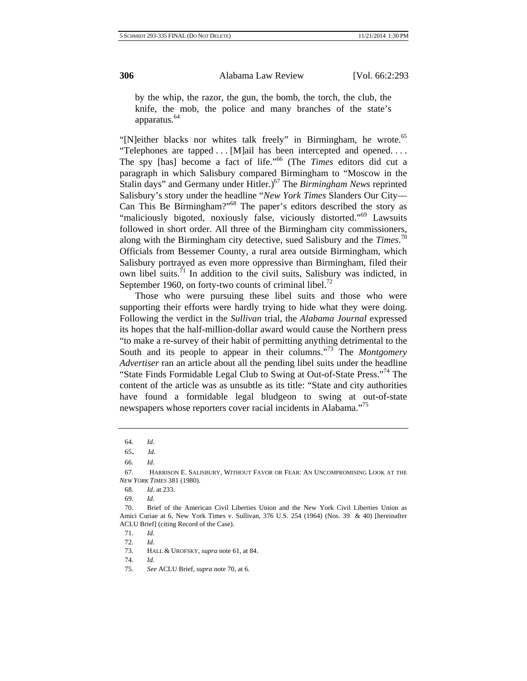by the whip, the razor, the gun, the bomb, the torch, the club, the knife, the mob, the police and many branches of the state's apparatus.<sup>64</sup>

"[N]either blacks nor whites talk freely" in Birmingham, he wrote.<sup>65</sup> "Telephones are tapped . . . [M]ail has been intercepted and opened. . . . The spy [has] become a fact of life."66 (The *Times* editors did cut a paragraph in which Salisbury compared Birmingham to "Moscow in the Stalin days" and Germany under Hitler.)<sup>67</sup> The *Birmingham News* reprinted Salisbury's story under the headline "*New York Times* Slanders Our City— Can This Be Birmingham?"68 The paper's editors described the story as "maliciously bigoted, noxiously false, viciously distorted."<sup>69</sup> Lawsuits followed in short order. All three of the Birmingham city commissioners, along with the Birmingham city detective, sued Salisbury and the *Times*. 70 Officials from Bessemer County, a rural area outside Birmingham, which Salisbury portrayed as even more oppressive than Birmingham, filed their own libel suits. $1/1$  In addition to the civil suits, Salisbury was indicted, in September 1960, on forty-two counts of criminal libel.<sup>72</sup>

Those who were pursuing these libel suits and those who were supporting their efforts were hardly trying to hide what they were doing. Following the verdict in the *Sullivan* trial, the *Alabama Journal* expressed its hopes that the half-million-dollar award would cause the Northern press "to make a re-survey of their habit of permitting anything detrimental to the South and its people to appear in their columns.<sup>"73</sup> The *Montgomery Advertiser* ran an article about all the pending libel suits under the headline "State Finds Formidable Legal Club to Swing at Out-of-State Press."74 The content of the article was as unsubtle as its title: "State and city authorities have found a formidable legal bludgeon to swing at out-of-state newspapers whose reporters cover racial incidents in Alabama."<sup>75</sup>

<sup>64.</sup> *Id*.

<sup>65.</sup> *Id.*

<sup>66.</sup> *Id*.

<sup>67.</sup> HARRISON E. SALISBURY, WITHOUT FAVOR OR FEAR: AN UNCOMPROMISING LOOK AT THE *NEW YORK TIMES* 381 (1980).

<sup>68.</sup> *Id*. at 233.

<sup>69.</sup> *Id*.

<sup>70.</sup> Brief of the American Civil Liberties Union and the New York Civil Liberties Union as Amici Curiae at 6, New York Times v. Sullivan, 376 U.S. 254 (1964) (Nos. 39 & 40) [hereinafter ACLU Brief] (citing Record of the Case).

<sup>71.</sup> *Id*.

<sup>72.</sup> *Id*.

<sup>73.</sup> HALL & UROFSKY, *supra* note 61, at 84.

<sup>74.</sup> *Id*.

<sup>75.</sup> *See* ACLU Brief, *supra* note 70, at 6.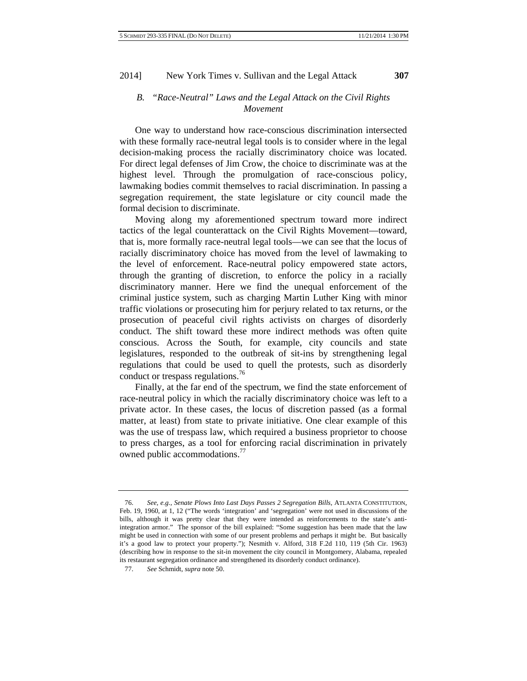# *B. "Race-Neutral" Laws and the Legal Attack on the Civil Rights Movement*

One way to understand how race-conscious discrimination intersected with these formally race-neutral legal tools is to consider where in the legal decision-making process the racially discriminatory choice was located. For direct legal defenses of Jim Crow, the choice to discriminate was at the highest level. Through the promulgation of race-conscious policy, lawmaking bodies commit themselves to racial discrimination. In passing a segregation requirement, the state legislature or city council made the formal decision to discriminate.

Moving along my aforementioned spectrum toward more indirect tactics of the legal counterattack on the Civil Rights Movement—toward, that is, more formally race-neutral legal tools—we can see that the locus of racially discriminatory choice has moved from the level of lawmaking to the level of enforcement. Race-neutral policy empowered state actors, through the granting of discretion, to enforce the policy in a racially discriminatory manner. Here we find the unequal enforcement of the criminal justice system, such as charging Martin Luther King with minor traffic violations or prosecuting him for perjury related to tax returns, or the prosecution of peaceful civil rights activists on charges of disorderly conduct. The shift toward these more indirect methods was often quite conscious. Across the South, for example, city councils and state legislatures, responded to the outbreak of sit-ins by strengthening legal regulations that could be used to quell the protests, such as disorderly conduct or trespass regulations.<sup>76</sup>

Finally, at the far end of the spectrum, we find the state enforcement of race-neutral policy in which the racially discriminatory choice was left to a private actor. In these cases, the locus of discretion passed (as a formal matter, at least) from state to private initiative. One clear example of this was the use of trespass law, which required a business proprietor to choose to press charges, as a tool for enforcing racial discrimination in privately owned public accommodations.<sup>77</sup>

<sup>76.</sup> *See, e.g.*, *Senate Plows Into Last Days Passes 2 Segregation Bills*, ATLANTA CONSTITUTION, Feb. 19, 1960, at 1, 12 ("The words 'integration' and 'segregation' were not used in discussions of the bills, although it was pretty clear that they were intended as reinforcements to the state's antiintegration armor." The sponsor of the bill explained: "Some suggestion has been made that the law might be used in connection with some of our present problems and perhaps it might be. But basically it's a good law to protect your property."); Nesmith v. Alford, 318 F.2d 110, 119 (5th Cir. 1963) (describing how in response to the sit-in movement the city council in Montgomery, Alabama, repealed its restaurant segregation ordinance and strengthened its disorderly conduct ordinance).

<sup>77.</sup> *See* Schmidt, *supra* note 50.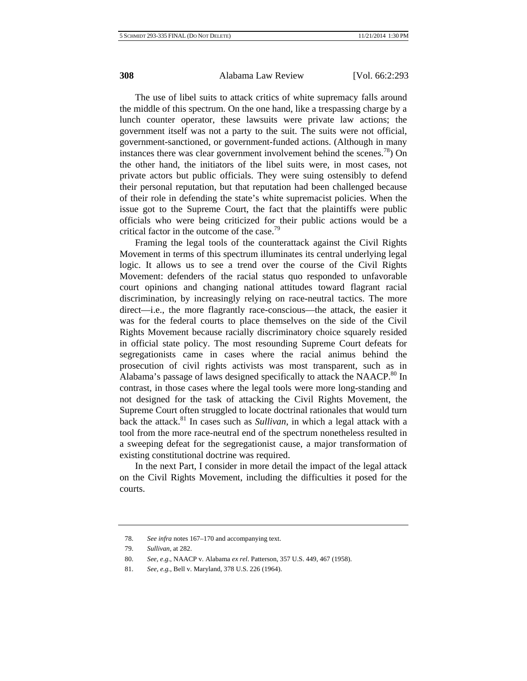The use of libel suits to attack critics of white supremacy falls around the middle of this spectrum. On the one hand, like a trespassing charge by a lunch counter operator, these lawsuits were private law actions; the government itself was not a party to the suit. The suits were not official, government-sanctioned, or government-funded actions. (Although in many instances there was clear government involvement behind the scenes.<sup>78</sup>) On the other hand, the initiators of the libel suits were, in most cases, not private actors but public officials. They were suing ostensibly to defend their personal reputation, but that reputation had been challenged because of their role in defending the state's white supremacist policies. When the issue got to the Supreme Court, the fact that the plaintiffs were public officials who were being criticized for their public actions would be a critical factor in the outcome of the case.<sup>79</sup>

Framing the legal tools of the counterattack against the Civil Rights Movement in terms of this spectrum illuminates its central underlying legal logic. It allows us to see a trend over the course of the Civil Rights Movement: defenders of the racial status quo responded to unfavorable court opinions and changing national attitudes toward flagrant racial discrimination, by increasingly relying on race-neutral tactics. The more direct—i.e., the more flagrantly race-conscious—the attack, the easier it was for the federal courts to place themselves on the side of the Civil Rights Movement because racially discriminatory choice squarely resided in official state policy. The most resounding Supreme Court defeats for segregationists came in cases where the racial animus behind the prosecution of civil rights activists was most transparent, such as in Alabama's passage of laws designed specifically to attack the NAACP.<sup>80</sup> In contrast, in those cases where the legal tools were more long-standing and not designed for the task of attacking the Civil Rights Movement, the Supreme Court often struggled to locate doctrinal rationales that would turn back the attack.81 In cases such as *Sullivan*, in which a legal attack with a tool from the more race-neutral end of the spectrum nonetheless resulted in a sweeping defeat for the segregationist cause, a major transformation of existing constitutional doctrine was required.

In the next Part, I consider in more detail the impact of the legal attack on the Civil Rights Movement, including the difficulties it posed for the courts.

<sup>78.</sup> *See infra* notes 167–170 and accompanying text.

<sup>79.</sup> *Sullivan*, at 282.

<sup>80.</sup> *See, e*.*g*., NAACP v. Alabama *ex rel*. Patterson, 357 U.S. 449, 467 (1958).

<sup>81.</sup> *See, e.g.*, Bell v. Maryland, 378 U.S. 226 (1964).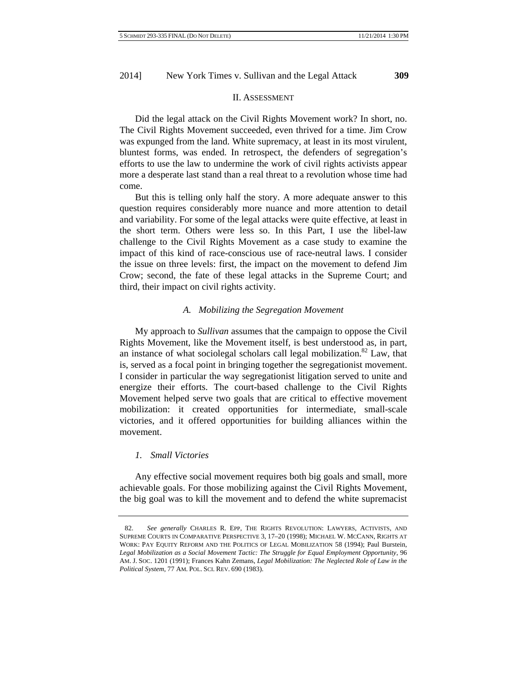#### II. ASSESSMENT

Did the legal attack on the Civil Rights Movement work? In short, no. The Civil Rights Movement succeeded, even thrived for a time. Jim Crow was expunged from the land. White supremacy, at least in its most virulent, bluntest forms, was ended. In retrospect, the defenders of segregation's efforts to use the law to undermine the work of civil rights activists appear more a desperate last stand than a real threat to a revolution whose time had come.

But this is telling only half the story. A more adequate answer to this question requires considerably more nuance and more attention to detail and variability. For some of the legal attacks were quite effective, at least in the short term. Others were less so. In this Part, I use the libel-law challenge to the Civil Rights Movement as a case study to examine the impact of this kind of race-conscious use of race-neutral laws. I consider the issue on three levels: first, the impact on the movement to defend Jim Crow; second, the fate of these legal attacks in the Supreme Court; and third, their impact on civil rights activity.

# *A. Mobilizing the Segregation Movement*

My approach to *Sullivan* assumes that the campaign to oppose the Civil Rights Movement, like the Movement itself, is best understood as, in part, an instance of what sociolegal scholars call legal mobilization.<sup>82</sup> Law, that is, served as a focal point in bringing together the segregationist movement. I consider in particular the way segregationist litigation served to unite and energize their efforts. The court-based challenge to the Civil Rights Movement helped serve two goals that are critical to effective movement mobilization: it created opportunities for intermediate, small-scale victories, and it offered opportunities for building alliances within the movement.

# *1. Small Victories*

Any effective social movement requires both big goals and small, more achievable goals. For those mobilizing against the Civil Rights Movement, the big goal was to kill the movement and to defend the white supremacist

<sup>82.</sup> *See generally* CHARLES R. EPP, THE RIGHTS REVOLUTION: LAWYERS, ACTIVISTS, AND SUPREME COURTS IN COMPARATIVE PERSPECTIVE 3, 17–20 (1998); MICHAEL W. MCCANN, RIGHTS AT WORK: PAY EQUITY REFORM AND THE POLITICS OF LEGAL MOBILIZATION 58 (1994); Paul Burstein, *Legal Mobilization as a Social Movement Tactic: The Struggle for Equal Employment Opportunity*, 96 AM. J. SOC. 1201 (1991); Frances Kahn Zemans, *Legal Mobilization: The Neglected Role of Law in the Political System*, 77 AM. POL. SCI. REV. 690 (1983).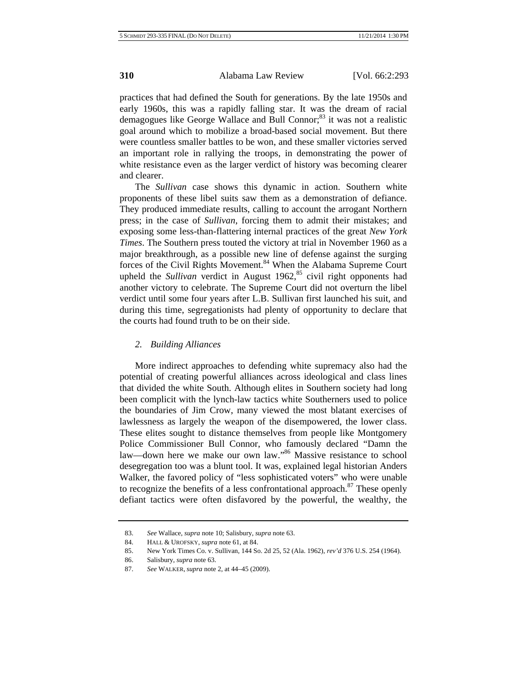practices that had defined the South for generations. By the late 1950s and early 1960s, this was a rapidly falling star. It was the dream of racial demagogues like George Wallace and Bull Connor; $^{83}$  it was not a realistic goal around which to mobilize a broad-based social movement. But there were countless smaller battles to be won, and these smaller victories served an important role in rallying the troops, in demonstrating the power of white resistance even as the larger verdict of history was becoming clearer and clearer.

The *Sullivan* case shows this dynamic in action. Southern white proponents of these libel suits saw them as a demonstration of defiance. They produced immediate results, calling to account the arrogant Northern press; in the case of *Sullivan*, forcing them to admit their mistakes; and exposing some less-than-flattering internal practices of the great *New York Times*. The Southern press touted the victory at trial in November 1960 as a major breakthrough, as a possible new line of defense against the surging forces of the Civil Rights Movement.<sup>84</sup> When the Alabama Supreme Court upheld the *Sullivan* verdict in August 1962,<sup>85</sup> civil right opponents had another victory to celebrate. The Supreme Court did not overturn the libel verdict until some four years after L.B. Sullivan first launched his suit, and during this time, segregationists had plenty of opportunity to declare that the courts had found truth to be on their side.

# *2. Building Alliances*

More indirect approaches to defending white supremacy also had the potential of creating powerful alliances across ideological and class lines that divided the white South. Although elites in Southern society had long been complicit with the lynch-law tactics white Southerners used to police the boundaries of Jim Crow, many viewed the most blatant exercises of lawlessness as largely the weapon of the disempowered, the lower class. These elites sought to distance themselves from people like Montgomery Police Commissioner Bull Connor, who famously declared "Damn the law—down here we make our own law."<sup>86</sup> Massive resistance to school desegregation too was a blunt tool. It was, explained legal historian Anders Walker, the favored policy of "less sophisticated voters" who were unable to recognize the benefits of a less confrontational approach. $87$  These openly defiant tactics were often disfavored by the powerful, the wealthy, the

<sup>83.</sup> *See* Wallace, *supra* note 10; Salisbury, *supra* note 63.

<sup>84.</sup> HALL & UROFSKY, *supra* note 61, at 84.

<sup>85.</sup> New York Times Co. v. Sullivan, 144 So. 2d 25, 52 (Ala. 1962), *rev'd* 376 U.S. 254 (1964).

<sup>86.</sup> Salisbury, *supra* note 63.

<sup>87.</sup> *See* WALKER, *supra* note 2, at 44–45 (2009).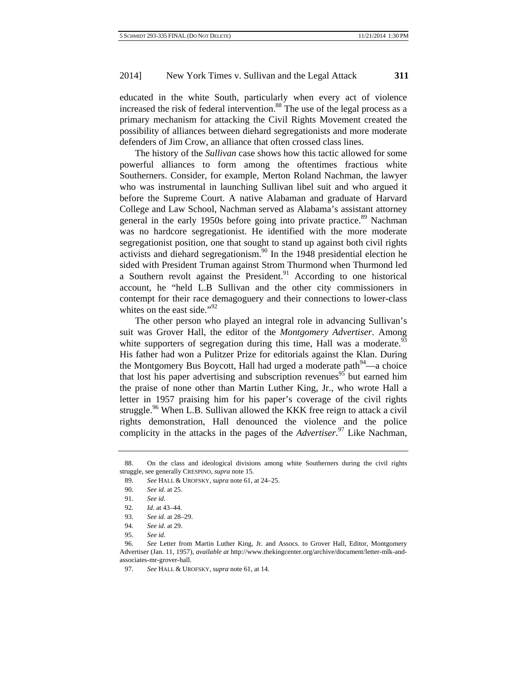educated in the white South, particularly when every act of violence increased the risk of federal intervention. $88$  The use of the legal process as a primary mechanism for attacking the Civil Rights Movement created the possibility of alliances between diehard segregationists and more moderate defenders of Jim Crow, an alliance that often crossed class lines.

The history of the *Sullivan* case shows how this tactic allowed for some powerful alliances to form among the oftentimes fractious white Southerners. Consider, for example, Merton Roland Nachman, the lawyer who was instrumental in launching Sullivan libel suit and who argued it before the Supreme Court. A native Alabaman and graduate of Harvard College and Law School, Nachman served as Alabama's assistant attorney general in the early 1950s before going into private practice.<sup>89</sup> Nachman was no hardcore segregationist. He identified with the more moderate segregationist position, one that sought to stand up against both civil rights activists and diehard segregationism.<sup>90</sup> In the 1948 presidential election he sided with President Truman against Strom Thurmond when Thurmond led a Southern revolt against the President.<sup>91</sup> According to one historical account, he "held L.B Sullivan and the other city commissioners in contempt for their race demagoguery and their connections to lower-class whites on the east side." $^{92}$ 

The other person who played an integral role in advancing Sullivan's suit was Grover Hall, the editor of the *Montgomery Advertiser*. Among white supporters of segregation during this time, Hall was a moderate.<sup>93</sup> His father had won a Pulitzer Prize for editorials against the Klan. During the Montgomery Bus Boycott, Hall had urged a moderate path<sup>94</sup>—a choice that lost his paper advertising and subscription revenues<sup>95</sup> but earned him the praise of none other than Martin Luther King, Jr., who wrote Hall a letter in 1957 praising him for his paper's coverage of the civil rights struggle.<sup>96</sup> When L.B. Sullivan allowed the KKK free reign to attack a civil rights demonstration, Hall denounced the violence and the police complicity in the attacks in the pages of the *Advertiser*. 97 Like Nachman,

<sup>88.</sup> On the class and ideological divisions among white Southerners during the civil rights struggle, see generally CRESPINO, *supra* note 15.

<sup>89.</sup> *See* HALL & UROFSKY, *supra* note 61, at 24–25.

<sup>90.</sup> *See id*. at 25.

<sup>91.</sup> *See id*.

<sup>92.</sup> *Id*. at 43–44.

<sup>93.</sup> *See id*. at 28–29.

<sup>94.</sup> *See id*. at 29.

<sup>95.</sup> *See id*.

<sup>96.</sup> *See* Letter from Martin Luther King, Jr. and Assocs. to Grover Hall, Editor, Montgomery Advertiser (Jan. 11, 1957), *available at* http://www.thekingcenter.org/archive/document/letter-mlk-andassociates-mr-grover-hall.

<sup>97.</sup> *See* HALL & UROFSKY, *supra* note 61, at 14.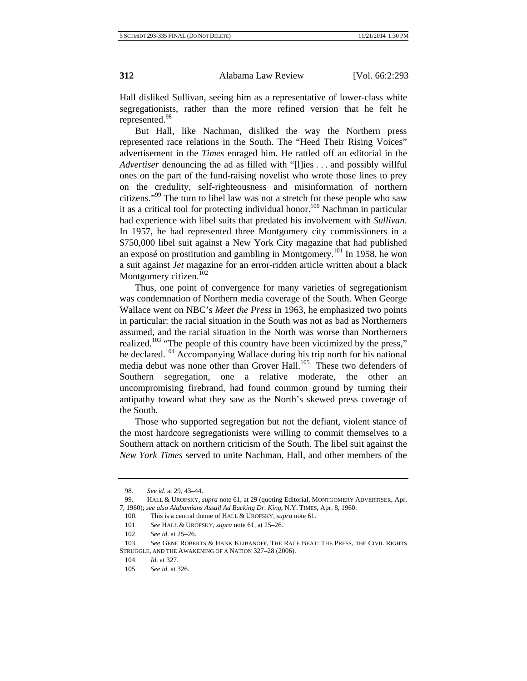Hall disliked Sullivan, seeing him as a representative of lower-class white segregationists, rather than the more refined version that he felt he represented.<sup>98</sup>

But Hall, like Nachman, disliked the way the Northern press represented race relations in the South. The "Heed Their Rising Voices" advertisement in the *Times* enraged him. He rattled off an editorial in the *Advertiser* denouncing the ad as filled with "[l]ies . . . and possibly willful ones on the part of the fund-raising novelist who wrote those lines to prey on the credulity, self-righteousness and misinformation of northern citizens."99 The turn to libel law was not a stretch for these people who saw it as a critical tool for protecting individual honor.<sup>100</sup> Nachman in particular had experience with libel suits that predated his involvement with *Sullivan*. In 1957, he had represented three Montgomery city commissioners in a \$750,000 libel suit against a New York City magazine that had published an exposé on prostitution and gambling in Montgomery.<sup>101</sup> In 1958, he won a suit against *Jet* magazine for an error-ridden article written about a black Montgomery citizen. $102$ 

Thus, one point of convergence for many varieties of segregationism was condemnation of Northern media coverage of the South. When George Wallace went on NBC's *Meet the Press* in 1963, he emphasized two points in particular: the racial situation in the South was not as bad as Northerners assumed, and the racial situation in the North was worse than Northerners realized.<sup>103</sup> "The people of this country have been victimized by the press," he declared.104 Accompanying Wallace during his trip north for his national media debut was none other than Grover Hall.<sup>105</sup> These two defenders of Southern segregation, one a relative moderate, the other an uncompromising firebrand, had found common ground by turning their antipathy toward what they saw as the North's skewed press coverage of the South.

Those who supported segregation but not the defiant, violent stance of the most hardcore segregationists were willing to commit themselves to a Southern attack on northern criticism of the South. The libel suit against the *New York Times* served to unite Nachman, Hall, and other members of the

<sup>98.</sup> *See id*. at 29, 43–44.

<sup>99.</sup> HALL & UROFSKY, *supra* note 61, at 29 (quoting Editorial, MONTGOMERY ADVERTISER, Apr. 7, 1960); *see also Alabamians Assail Ad Backing Dr*. *King*, N.Y. TIMES, Apr. 8, 1960.

<sup>100.</sup> This is a central theme of HALL & UROFSKY, *supra* note 61.

<sup>101.</sup> *See* HALL & UROFSKY, *supra* note 61, at 25–26.

<sup>102.</sup> *See id*. at 25–26.

<sup>103.</sup> *See* GENE ROBERTS & HANK KLIBANOFF, THE RACE BEAT: THE PRESS, THE CIVIL RIGHTS STRUGGLE, AND THE AWAKENING OF A NATION 327–28 (2006).

<sup>104.</sup> *Id*. at 327.

<sup>105.</sup> *See id*. at 326.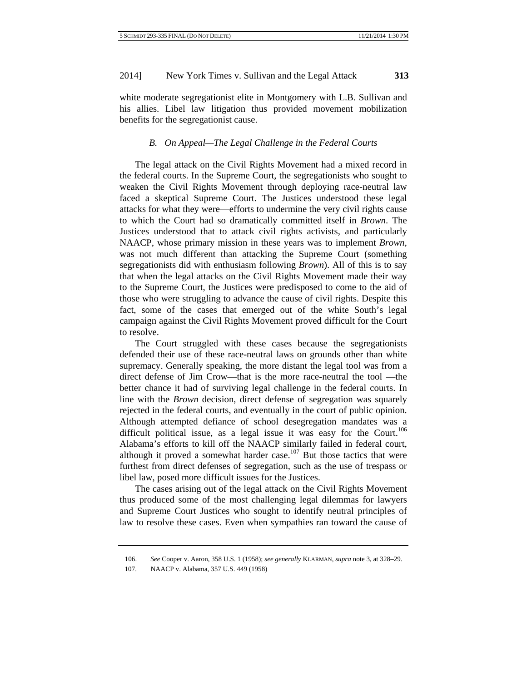white moderate segregationist elite in Montgomery with L.B. Sullivan and his allies. Libel law litigation thus provided movement mobilization benefits for the segregationist cause.

# *B. On Appeal—The Legal Challenge in the Federal Courts*

The legal attack on the Civil Rights Movement had a mixed record in the federal courts. In the Supreme Court, the segregationists who sought to weaken the Civil Rights Movement through deploying race-neutral law faced a skeptical Supreme Court. The Justices understood these legal attacks for what they were—efforts to undermine the very civil rights cause to which the Court had so dramatically committed itself in *Brown*. The Justices understood that to attack civil rights activists, and particularly NAACP, whose primary mission in these years was to implement *Brown*, was not much different than attacking the Supreme Court (something segregationists did with enthusiasm following *Brown*). All of this is to say that when the legal attacks on the Civil Rights Movement made their way to the Supreme Court, the Justices were predisposed to come to the aid of those who were struggling to advance the cause of civil rights. Despite this fact, some of the cases that emerged out of the white South's legal campaign against the Civil Rights Movement proved difficult for the Court to resolve.

The Court struggled with these cases because the segregationists defended their use of these race-neutral laws on grounds other than white supremacy. Generally speaking, the more distant the legal tool was from a direct defense of Jim Crow—that is the more race-neutral the tool —the better chance it had of surviving legal challenge in the federal courts. In line with the *Brown* decision, direct defense of segregation was squarely rejected in the federal courts, and eventually in the court of public opinion. Although attempted defiance of school desegregation mandates was a difficult political issue, as a legal issue it was easy for the Court.<sup>106</sup> Alabama's efforts to kill off the NAACP similarly failed in federal court, although it proved a somewhat harder case.<sup>107</sup> But those tactics that were furthest from direct defenses of segregation, such as the use of trespass or libel law, posed more difficult issues for the Justices.

The cases arising out of the legal attack on the Civil Rights Movement thus produced some of the most challenging legal dilemmas for lawyers and Supreme Court Justices who sought to identify neutral principles of law to resolve these cases. Even when sympathies ran toward the cause of

<sup>106.</sup> *See* Cooper v. Aaron, 358 U.S. 1 (1958); *see generally* KLARMAN, *supra* note 3, at 328–29.

<sup>107.</sup> NAACP v. Alabama, 357 U.S. 449 (1958)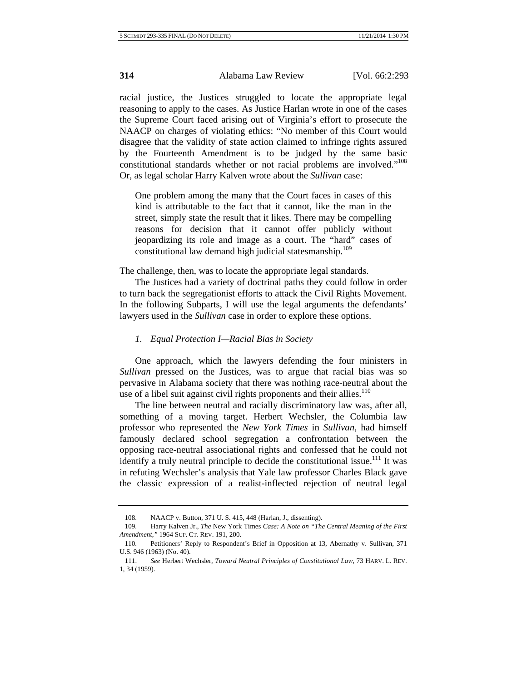racial justice, the Justices struggled to locate the appropriate legal reasoning to apply to the cases. As Justice Harlan wrote in one of the cases the Supreme Court faced arising out of Virginia's effort to prosecute the NAACP on charges of violating ethics: "No member of this Court would disagree that the validity of state action claimed to infringe rights assured by the Fourteenth Amendment is to be judged by the same basic constitutional standards whether or not racial problems are involved."108 Or, as legal scholar Harry Kalven wrote about the *Sullivan* case:

One problem among the many that the Court faces in cases of this kind is attributable to the fact that it cannot, like the man in the street, simply state the result that it likes. There may be compelling reasons for decision that it cannot offer publicly without jeopardizing its role and image as a court. The "hard" cases of constitutional law demand high judicial statesmanship.<sup>109</sup>

The challenge, then, was to locate the appropriate legal standards.

The Justices had a variety of doctrinal paths they could follow in order to turn back the segregationist efforts to attack the Civil Rights Movement. In the following Subparts, I will use the legal arguments the defendants' lawyers used in the *Sullivan* case in order to explore these options.

#### *1. Equal Protection I—Racial Bias in Society*

One approach, which the lawyers defending the four ministers in *Sullivan* pressed on the Justices, was to argue that racial bias was so pervasive in Alabama society that there was nothing race-neutral about the use of a libel suit against civil rights proponents and their allies. $110$ 

The line between neutral and racially discriminatory law was, after all, something of a moving target. Herbert Wechsler, the Columbia law professor who represented the *New York Times* in *Sullivan*, had himself famously declared school segregation a confrontation between the opposing race-neutral associational rights and confessed that he could not identify a truly neutral principle to decide the constitutional issue.<sup>111</sup> It was in refuting Wechsler's analysis that Yale law professor Charles Black gave the classic expression of a realist-inflected rejection of neutral legal

<sup>108.</sup> NAACP v. Button, 371 U. S. 415, 448 (Harlan, J., dissenting).

<sup>109.</sup> Harry Kalven Jr., *The* New York Times *Case: A Note on "The Central Meaning of the First Amendment*,*"* 1964 SUP. CT. REV. 191, 200.

<sup>110.</sup> Petitioners' Reply to Respondent's Brief in Opposition at 13, Abernathy v. Sullivan, 371 U.S. 946 (1963) (No. 40).

<sup>111.</sup> *See* Herbert Wechsler, *Toward Neutral Principles of Constitutional Law*, 73 HARV. L. REV. 1, 34 (1959).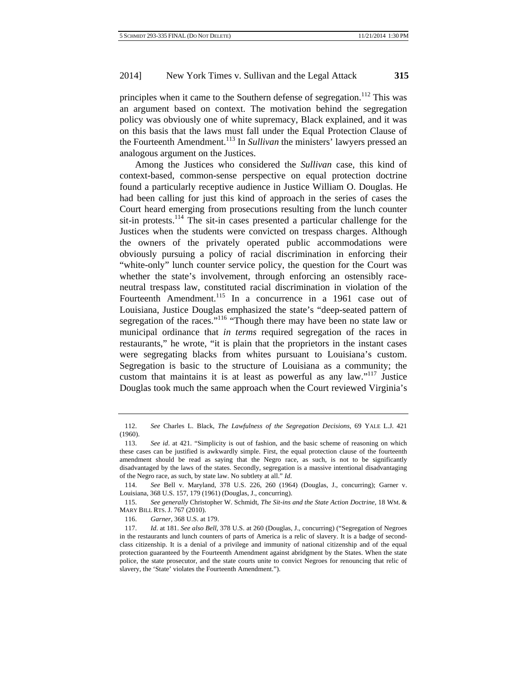principles when it came to the Southern defense of segregation.<sup>112</sup> This was an argument based on context. The motivation behind the segregation policy was obviously one of white supremacy, Black explained, and it was on this basis that the laws must fall under the Equal Protection Clause of the Fourteenth Amendment.<sup>113</sup> In *Sullivan* the ministers' lawyers pressed an analogous argument on the Justices.

Among the Justices who considered the *Sullivan* case, this kind of context-based, common-sense perspective on equal protection doctrine found a particularly receptive audience in Justice William O. Douglas. He had been calling for just this kind of approach in the series of cases the Court heard emerging from prosecutions resulting from the lunch counter sit-in protests.<sup>114</sup> The sit-in cases presented a particular challenge for the Justices when the students were convicted on trespass charges. Although the owners of the privately operated public accommodations were obviously pursuing a policy of racial discrimination in enforcing their "white-only" lunch counter service policy, the question for the Court was whether the state's involvement, through enforcing an ostensibly raceneutral trespass law, constituted racial discrimination in violation of the Fourteenth Amendment.<sup>115</sup> In a concurrence in a 1961 case out of Louisiana, Justice Douglas emphasized the state's "deep-seated pattern of segregation of the races."<sup>116</sup> "Though there may have been no state law or municipal ordinance that *in terms* required segregation of the races in restaurants," he wrote, "it is plain that the proprietors in the instant cases were segregating blacks from whites pursuant to Louisiana's custom. Segregation is basic to the structure of Louisiana as a community; the custom that maintains it is at least as powerful as any law." $117$  Justice Douglas took much the same approach when the Court reviewed Virginia's

<sup>112.</sup> *See* Charles L. Black, *The Lawfulness of the Segregation Decisions*, 69 YALE L.J. 421 (1960).

<sup>113.</sup> *See id*. at 421. "Simplicity is out of fashion, and the basic scheme of reasoning on which these cases can be justified is awkwardly simple. First, the equal protection clause of the fourteenth amendment should be read as saying that the Negro race, as such, is not to be significantly disadvantaged by the laws of the states. Secondly, segregation is a massive intentional disadvantaging of the Negro race, as such, by state law. No subtlety at all." *Id*.

<sup>114.</sup> *See* Bell v. Maryland, 378 U.S. 226, 260 (1964) (Douglas, J., concurring); Garner v. Louisiana, 368 U.S. 157, 179 (1961) (Douglas, J., concurring).

<sup>115.</sup> *See generally* Christopher W. Schmidt, *The Sit-ins and the State Action Doctrine*, 18 WM. & MARY BILL RTS. J. 767 (2010).

<sup>116.</sup> *Garner*, 368 U.S. at 179.

<sup>117.</sup> *Id*. at 181. *See also Bell*, 378 U.S. at 260 (Douglas, J., concurring) ("Segregation of Negroes in the restaurants and lunch counters of parts of America is a relic of slavery. It is a badge of secondclass citizenship. It is a denial of a privilege and immunity of national citizenship and of the equal protection guaranteed by the Fourteenth Amendment against abridgment by the States. When the state police, the state prosecutor, and the state courts unite to convict Negroes for renouncing that relic of slavery, the 'State' violates the Fourteenth Amendment.").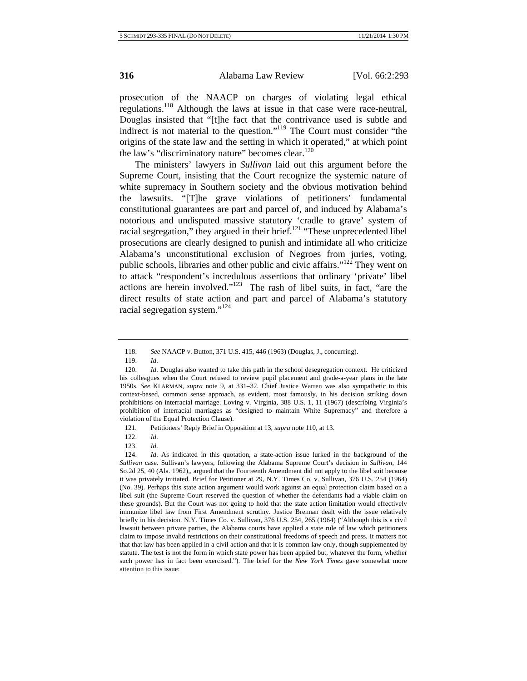prosecution of the NAACP on charges of violating legal ethical regulations.<sup>118</sup> Although the laws at issue in that case were race-neutral, Douglas insisted that "[t]he fact that the contrivance used is subtle and indirect is not material to the question."119 The Court must consider "the origins of the state law and the setting in which it operated," at which point the law's "discriminatory nature" becomes clear. $120$ 

The ministers' lawyers in *Sullivan* laid out this argument before the Supreme Court, insisting that the Court recognize the systemic nature of white supremacy in Southern society and the obvious motivation behind the lawsuits. "[T]he grave violations of petitioners' fundamental constitutional guarantees are part and parcel of, and induced by Alabama's notorious and undisputed massive statutory 'cradle to grave' system of racial segregation," they argued in their brief.<sup>121</sup> "These unprecedented libel prosecutions are clearly designed to punish and intimidate all who criticize Alabama's unconstitutional exclusion of Negroes from juries, voting, public schools, libraries and other public and civic affairs."122 They went on to attack "respondent's incredulous assertions that ordinary 'private' libel actions are herein involved." $123$  The rash of libel suits, in fact, "are the direct results of state action and part and parcel of Alabama's statutory racial segregation system."<sup>124</sup>

123. *Id*.

<sup>118.</sup> *See* NAACP v. Button, 371 U.S. 415, 446 (1963) (Douglas, J., concurring).

<sup>119.</sup> *Id*.

<sup>120.</sup> *Id*. Douglas also wanted to take this path in the school desegregation context. He criticized his colleagues when the Court refused to review pupil placement and grade-a-year plans in the late 1950s. *See* KLARMAN, *supra* note 9, at 331–32. Chief Justice Warren was also sympathetic to this context-based, common sense approach, as evident, most famously, in his decision striking down prohibitions on interracial marriage. Loving v. Virginia, 388 U.S. 1, 11 (1967) (describing Virginia's prohibition of interracial marriages as "designed to maintain White Supremacy" and therefore a violation of the Equal Protection Clause).

<sup>121.</sup> Petitioners' Reply Brief in Opposition at 13, *supra* note 110, at 13.

<sup>122.</sup> *Id*.

<sup>124.</sup> *Id*. As indicated in this quotation, a state-action issue lurked in the background of the *Sullivan* case. Sullivan's lawyers, following the Alabama Supreme Court's decision in *Sullivan*, 144 So.2d 25, 40 (Ala. 1962),, argued that the Fourteenth Amendment did not apply to the libel suit because it was privately initiated. Brief for Petitioner at 29, N.Y. Times Co. v. Sullivan, 376 U.S. 254 (1964) (No. 39). Perhaps this state action argument would work against an equal protection claim based on a libel suit (the Supreme Court reserved the question of whether the defendants had a viable claim on these grounds). But the Court was not going to hold that the state action limitation would effectively immunize libel law from First Amendment scrutiny. Justice Brennan dealt with the issue relatively briefly in his decision. N.Y. Times Co. v. Sullivan*,* 376 U.S. 254, 265 (1964) ("Although this is a civil lawsuit between private parties, the Alabama courts have applied a state rule of law which petitioners claim to impose invalid restrictions on their constitutional freedoms of speech and press. It matters not that that law has been applied in a civil action and that it is common law only, though supplemented by statute. The test is not the form in which state power has been applied but, whatever the form, whether such power has in fact been exercised."). The brief for the *New York Times* gave somewhat more attention to this issue: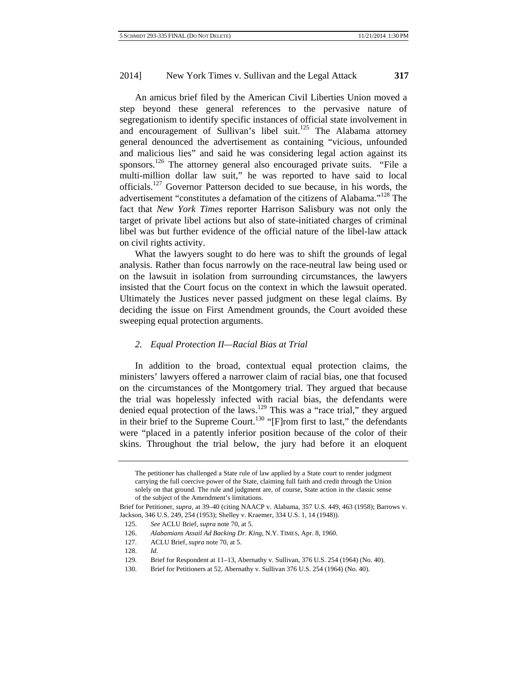An amicus brief filed by the American Civil Liberties Union moved a step beyond these general references to the pervasive nature of segregationism to identify specific instances of official state involvement in and encouragement of Sullivan's libel suit.<sup>125</sup> The Alabama attorney general denounced the advertisement as containing "vicious, unfounded and malicious lies" and said he was considering legal action against its sponsors.<sup>126</sup> The attorney general also encouraged private suits. "File a multi-million dollar law suit," he was reported to have said to local officials.<sup>127</sup> Governor Patterson decided to sue because, in his words, the advertisement "constitutes a defamation of the citizens of Alabama."128 The fact that *New York Times* reporter Harrison Salisbury was not only the target of private libel actions but also of state-initiated charges of criminal libel was but further evidence of the official nature of the libel-law attack on civil rights activity.

What the lawyers sought to do here was to shift the grounds of legal analysis. Rather than focus narrowly on the race-neutral law being used or on the lawsuit in isolation from surrounding circumstances, the lawyers insisted that the Court focus on the context in which the lawsuit operated. Ultimately the Justices never passed judgment on these legal claims. By deciding the issue on First Amendment grounds, the Court avoided these sweeping equal protection arguments.

# *2. Equal Protection II—Racial Bias at Trial*

In addition to the broad, contextual equal protection claims, the ministers' lawyers offered a narrower claim of racial bias, one that focused on the circumstances of the Montgomery trial. They argued that because the trial was hopelessly infected with racial bias, the defendants were denied equal protection of the laws.<sup>129</sup> This was a "race trial," they argued in their brief to the Supreme Court.<sup>130</sup> "[F]rom first to last," the defendants were "placed in a patently inferior position because of the color of their skins. Throughout the trial below, the jury had before it an eloquent

The petitioner has challenged a State rule of law applied by a State court to render judgment carrying the full coercive power of the State, claiming full faith and credit through the Union solely on that ground. The rule and judgment are, of course, State action in the classic sense of the subject of the Amendment's limitations.

Brief for Petitioner, *supra*, at 39–40 (citing NAACP v. Alabama, 357 U.S. 449, 463 (1958); Barrows v. Jackson, 346 U.S. 249, 254 (1953); Shelley v. Kraemer, 334 U.S. 1, 14 (1948)).

<sup>125.</sup> *See* ACLU Brief, *supra* note 70, at 5.

<sup>126.</sup> *Alabamians Assail Ad Backing Dr*. *King*, N.Y. TIMES, Apr. 8, 1960.

<sup>127.</sup> ACLU Brief, *supra* note 70, at 5.

<sup>128.</sup> *Id*.

<sup>129.</sup> Brief for Respondent at 11–13, Abernathy v. Sullivan, 376 U.S. 254 (1964) (No. 40).

<sup>130.</sup> Brief for Petitioners at 52, Abernathy v. Sullivan 376 U.S. 254 (1964) (No. 40).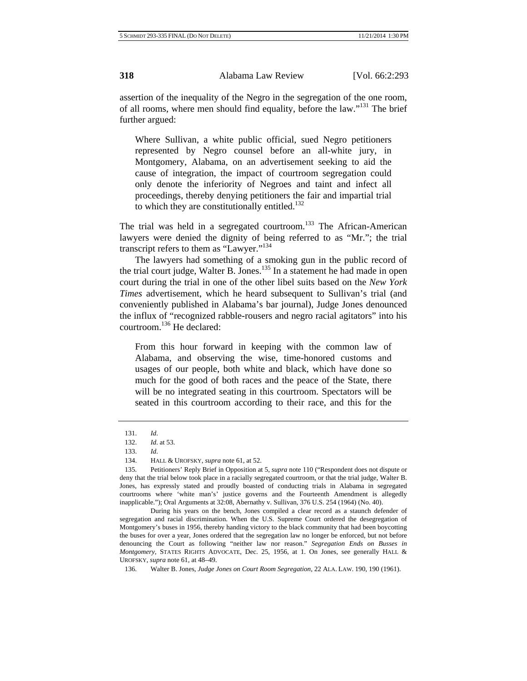assertion of the inequality of the Negro in the segregation of the one room, of all rooms, where men should find equality, before the law."131 The brief further argued:

Where Sullivan, a white public official, sued Negro petitioners represented by Negro counsel before an all-white jury, in Montgomery, Alabama, on an advertisement seeking to aid the cause of integration, the impact of courtroom segregation could only denote the inferiority of Negroes and taint and infect all proceedings, thereby denying petitioners the fair and impartial trial to which they are constitutionally entitled.<sup>132</sup>

The trial was held in a segregated courtroom.<sup>133</sup> The African-American lawyers were denied the dignity of being referred to as "Mr."; the trial transcript refers to them as "Lawyer."<sup>134</sup>

The lawyers had something of a smoking gun in the public record of the trial court judge, Walter B. Jones.<sup>135</sup> In a statement he had made in open court during the trial in one of the other libel suits based on the *New York Times* advertisement, which he heard subsequent to Sullivan's trial (and conveniently published in Alabama's bar journal), Judge Jones denounced the influx of "recognized rabble-rousers and negro racial agitators" into his courtroom.136 He declared:

From this hour forward in keeping with the common law of Alabama, and observing the wise, time-honored customs and usages of our people, both white and black, which have done so much for the good of both races and the peace of the State, there will be no integrated seating in this courtroom. Spectators will be seated in this courtroom according to their race, and this for the

During his years on the bench, Jones compiled a clear record as a staunch defender of segregation and racial discrimination. When the U.S. Supreme Court ordered the desegregation of Montgomery's buses in 1956, thereby handing victory to the black community that had been boycotting the buses for over a year, Jones ordered that the segregation law no longer be enforced, but not before denouncing the Court as following "neither law nor reason." *Segregation Ends on Busses in Montgomery*, STATES RIGHTS ADVOCATE, Dec. 25, 1956, at 1. On Jones, see generally HALL & UROFSKY, *supra* note 61, at 48–49.

<sup>131.</sup> *Id*.

<sup>132.</sup> *Id*. at 53.

<sup>133.</sup> *Id*.

<sup>134.</sup> HALL & UROFSKY, *supra* note 61, at 52.

<sup>135.</sup> Petitioners' Reply Brief in Opposition at 5, *supra* note 110 ("Respondent does not dispute or deny that the trial below took place in a racially segregated courtroom, or that the trial judge, Walter B. Jones, has expressly stated and proudly boasted of conducting trials in Alabama in segregated courtrooms where 'white man's' justice governs and the Fourteenth Amendment is allegedly inapplicable."); Oral Arguments at 32:08, Abernathy v. Sullivan, 376 U.S. 254 (1964) (No. 40).

<sup>136.</sup> Walter B. Jones, *Judge Jones on Court Room Segregation*, 22 ALA. LAW. 190, 190 (1961).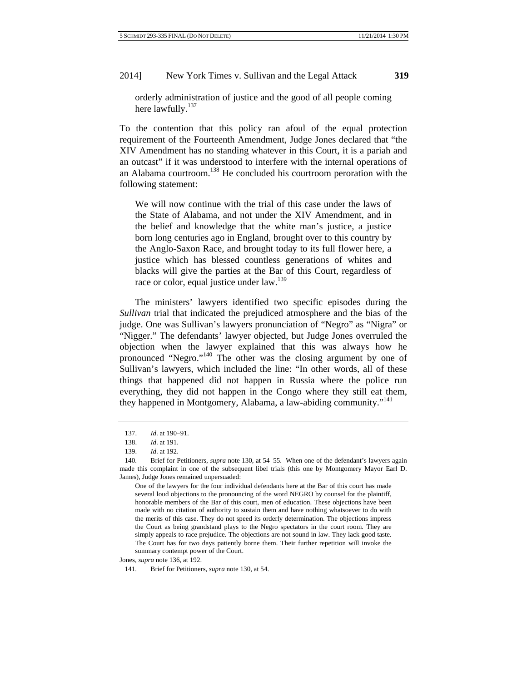orderly administration of justice and the good of all people coming here lawfully.<sup>137</sup>

To the contention that this policy ran afoul of the equal protection requirement of the Fourteenth Amendment, Judge Jones declared that "the XIV Amendment has no standing whatever in this Court, it is a pariah and an outcast" if it was understood to interfere with the internal operations of an Alabama courtroom.138 He concluded his courtroom peroration with the following statement:

We will now continue with the trial of this case under the laws of the State of Alabama, and not under the XIV Amendment, and in the belief and knowledge that the white man's justice, a justice born long centuries ago in England, brought over to this country by the Anglo-Saxon Race, and brought today to its full flower here, a justice which has blessed countless generations of whites and blacks will give the parties at the Bar of this Court, regardless of race or color, equal justice under law.<sup>139</sup>

The ministers' lawyers identified two specific episodes during the *Sullivan* trial that indicated the prejudiced atmosphere and the bias of the judge. One was Sullivan's lawyers pronunciation of "Negro" as "Nigra" or "Nigger." The defendants' lawyer objected, but Judge Jones overruled the objection when the lawyer explained that this was always how he pronounced "Negro."140 The other was the closing argument by one of Sullivan's lawyers, which included the line: "In other words, all of these things that happened did not happen in Russia where the police run everything, they did not happen in the Congo where they still eat them, they happened in Montgomery, Alabama, a law-abiding community."<sup>141</sup>

One of the lawyers for the four individual defendants here at the Bar of this court has made several loud objections to the pronouncing of the word NEGRO by counsel for the plaintiff, honorable members of the Bar of this court, men of education. These objections have been made with no citation of authority to sustain them and have nothing whatsoever to do with the merits of this case. They do not speed its orderly determination. The objections impress the Court as being grandstand plays to the Negro spectators in the court room. They are simply appeals to race prejudice. The objections are not sound in law. They lack good taste. The Court has for two days patiently borne them. Their further repetition will invoke the summary contempt power of the Court.

Jones, *supra* note 136, at 192.

<sup>137.</sup> *Id*. at 190–91.

<sup>138.</sup> *Id*. at 191.

<sup>139.</sup> *Id*. at 192.

<sup>140.</sup> Brief for Petitioners, *supra* note 130, at 54–55. When one of the defendant's lawyers again made this complaint in one of the subsequent libel trials (this one by Montgomery Mayor Earl D. James), Judge Jones remained unpersuaded:

<sup>141.</sup> Brief for Petitioners, *supra* note 130, at 54.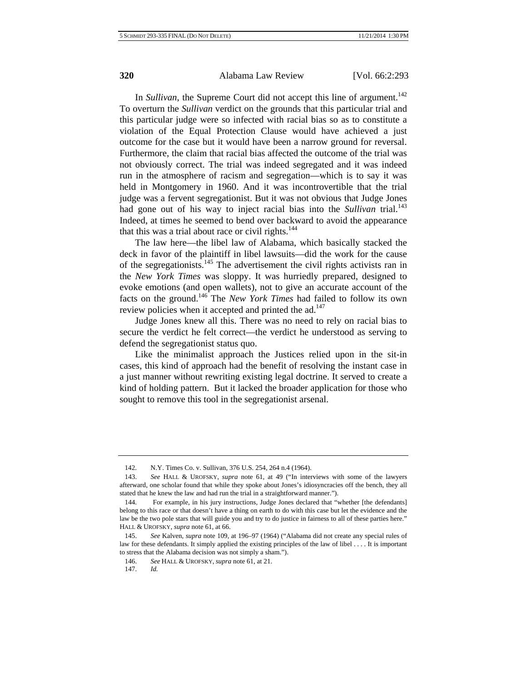In *Sullivan*, the Supreme Court did not accept this line of argument.<sup>142</sup> To overturn the *Sullivan* verdict on the grounds that this particular trial and this particular judge were so infected with racial bias so as to constitute a violation of the Equal Protection Clause would have achieved a just outcome for the case but it would have been a narrow ground for reversal. Furthermore, the claim that racial bias affected the outcome of the trial was not obviously correct. The trial was indeed segregated and it was indeed run in the atmosphere of racism and segregation—which is to say it was held in Montgomery in 1960. And it was incontrovertible that the trial judge was a fervent segregationist. But it was not obvious that Judge Jones had gone out of his way to inject racial bias into the *Sullivan* trial.<sup>143</sup> Indeed, at times he seemed to bend over backward to avoid the appearance that this was a trial about race or civil rights. $144$ 

The law here—the libel law of Alabama, which basically stacked the deck in favor of the plaintiff in libel lawsuits—did the work for the cause of the segregationists. $145$  The advertisement the civil rights activists ran in the *New York Times* was sloppy. It was hurriedly prepared, designed to evoke emotions (and open wallets), not to give an accurate account of the facts on the ground.146 The *New York Times* had failed to follow its own review policies when it accepted and printed the  $ad.147$ 

Judge Jones knew all this. There was no need to rely on racial bias to secure the verdict he felt correct—the verdict he understood as serving to defend the segregationist status quo.

Like the minimalist approach the Justices relied upon in the sit-in cases, this kind of approach had the benefit of resolving the instant case in a just manner without rewriting existing legal doctrine. It served to create a kind of holding pattern. But it lacked the broader application for those who sought to remove this tool in the segregationist arsenal.

<sup>142.</sup> N.Y. Times Co. v. Sullivan, 376 U.S. 254, 264 n.4 (1964).

<sup>143.</sup> *See* HALL & UROFSKY, *supra* note 61, at 49 ("In interviews with some of the lawyers afterward, one scholar found that while they spoke about Jones's idiosyncracies off the bench, they all stated that he knew the law and had run the trial in a straightforward manner.").

<sup>144.</sup> For example, in his jury instructions, Judge Jones declared that "whether [the defendants] belong to this race or that doesn't have a thing on earth to do with this case but let the evidence and the law be the two pole stars that will guide you and try to do justice in fairness to all of these parties here." HALL & UROFSKY, *supra* note 61, at 66.

<sup>145.</sup> *See* Kalven, *supra* note 109, at 196–97 (1964) ("Alabama did not create any special rules of law for these defendants. It simply applied the existing principles of the law of libel . . . . It is important to stress that the Alabama decision was not simply a sham.").

<sup>146.</sup> *See* HALL & UROFSKY, *supra* note 61, at 21.

<sup>147.</sup> *Id.*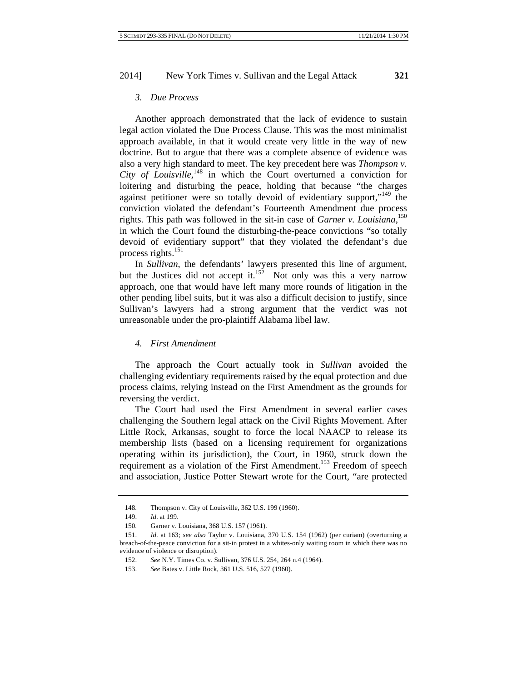# *3. Due Process*

Another approach demonstrated that the lack of evidence to sustain legal action violated the Due Process Clause. This was the most minimalist approach available, in that it would create very little in the way of new doctrine. But to argue that there was a complete absence of evidence was also a very high standard to meet. The key precedent here was *Thompson v. City of Louisville*, 148 in which the Court overturned a conviction for loitering and disturbing the peace, holding that because "the charges against petitioner were so totally devoid of evidentiary support,"<sup>149</sup> the conviction violated the defendant's Fourteenth Amendment due process rights. This path was followed in the sit-in case of *Garner v. Louisiana*, 150 in which the Court found the disturbing-the-peace convictions "so totally devoid of evidentiary support" that they violated the defendant's due process rights.<sup>151</sup>

In *Sullivan*, the defendants' lawyers presented this line of argument, but the Justices did not accept it.<sup>152</sup> Not only was this a very narrow approach, one that would have left many more rounds of litigation in the other pending libel suits, but it was also a difficult decision to justify, since Sullivan's lawyers had a strong argument that the verdict was not unreasonable under the pro-plaintiff Alabama libel law.

#### *4. First Amendment*

The approach the Court actually took in *Sullivan* avoided the challenging evidentiary requirements raised by the equal protection and due process claims, relying instead on the First Amendment as the grounds for reversing the verdict.

The Court had used the First Amendment in several earlier cases challenging the Southern legal attack on the Civil Rights Movement. After Little Rock, Arkansas, sought to force the local NAACP to release its membership lists (based on a licensing requirement for organizations operating within its jurisdiction), the Court, in 1960, struck down the requirement as a violation of the First Amendment.<sup>153</sup> Freedom of speech and association, Justice Potter Stewart wrote for the Court, "are protected

<sup>148.</sup> Thompson v. City of Louisville, 362 U.S. 199 (1960).

<sup>149.</sup> *Id*. at 199.

<sup>150.</sup> Garner v. Louisiana, 368 U.S. 157 (1961).

<sup>151.</sup> *Id*. at 163; *see also* Taylor v. Louisiana, 370 U.S. 154 (1962) (per curiam) (overturning a breach-of-the-peace conviction for a sit-in protest in a whites-only waiting room in which there was no evidence of violence or disruption).

<sup>152.</sup> *See* N.Y. Times Co. v. Sullivan, 376 U.S. 254, 264 n.4 (1964).

<sup>153.</sup> *See* Bates v. Little Rock, 361 U.S. 516, 527 (1960).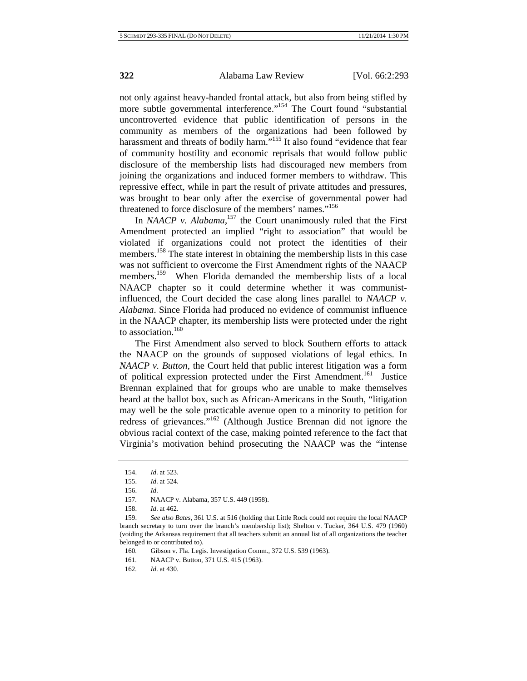not only against heavy-handed frontal attack, but also from being stifled by more subtle governmental interference."<sup>154</sup> The Court found "substantial" uncontroverted evidence that public identification of persons in the community as members of the organizations had been followed by harassment and threats of bodily harm."<sup>155</sup> It also found "evidence that fear of community hostility and economic reprisals that would follow public disclosure of the membership lists had discouraged new members from joining the organizations and induced former members to withdraw. This repressive effect, while in part the result of private attitudes and pressures, was brought to bear only after the exercise of governmental power had threatened to force disclosure of the members' names."<sup>156</sup>

In *NAACP* v. Alabama,<sup>157</sup> the Court unanimously ruled that the First Amendment protected an implied "right to association" that would be violated if organizations could not protect the identities of their members.<sup>158</sup> The state interest in obtaining the membership lists in this case was not sufficient to overcome the First Amendment rights of the NAACP members.<sup>159</sup> When Florida demanded the membership lists of a local NAACP chapter so it could determine whether it was communistinfluenced, the Court decided the case along lines parallel to *NAACP v. Alabama*. Since Florida had produced no evidence of communist influence in the NAACP chapter, its membership lists were protected under the right to association  $160$ 

The First Amendment also served to block Southern efforts to attack the NAACP on the grounds of supposed violations of legal ethics. In *NAACP v. Button*, the Court held that public interest litigation was a form of political expression protected under the First Amendment.<sup>161</sup> Justice Brennan explained that for groups who are unable to make themselves heard at the ballot box, such as African-Americans in the South, "litigation may well be the sole practicable avenue open to a minority to petition for redress of grievances."162 (Although Justice Brennan did not ignore the obvious racial context of the case, making pointed reference to the fact that Virginia's motivation behind prosecuting the NAACP was the "intense

<sup>154.</sup> *Id*. at 523.

<sup>155.</sup> *Id*. at 524.

<sup>156.</sup> *Id*.

<sup>157.</sup> NAACP v. Alabama, 357 U.S. 449 (1958).

<sup>158.</sup> *Id*. at 462.

<sup>159.</sup> *See also Bates*, 361 U.S. at 516 (holding that Little Rock could not require the local NAACP branch secretary to turn over the branch's membership list); Shelton v. Tucker, 364 U.S. 479 (1960) (voiding the Arkansas requirement that all teachers submit an annual list of all organizations the teacher belonged to or contributed to).

<sup>160.</sup> Gibson v. Fla. Legis. Investigation Comm., 372 U.S. 539 (1963).

<sup>161.</sup> NAACP v. Button, 371 U.S. 415 (1963).

<sup>162.</sup> *Id*. at 430.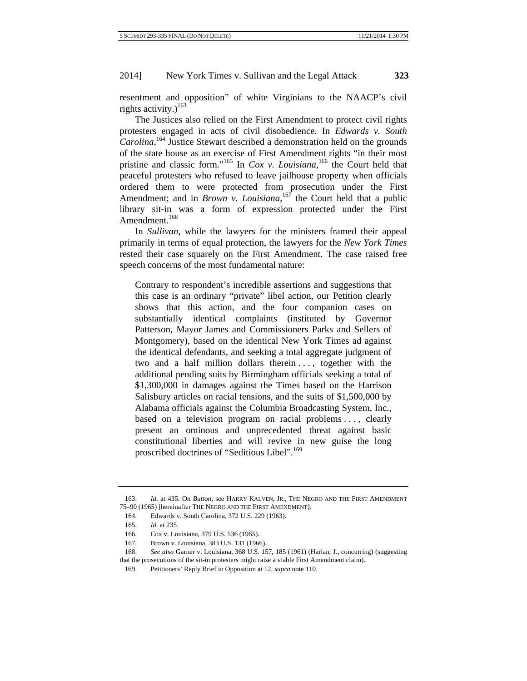resentment and opposition" of white Virginians to the NAACP's civil rights activity.)<sup>163</sup>

The Justices also relied on the First Amendment to protect civil rights protesters engaged in acts of civil disobedience. In *Edwards v. South Carolina*, 164 Justice Stewart described a demonstration held on the grounds of the state house as an exercise of First Amendment rights "in their most pristine and classic form."165 In *Cox v. Louisiana*, 166 the Court held that peaceful protesters who refused to leave jailhouse property when officials ordered them to were protected from prosecution under the First Amendment; and in *Brown v. Louisiana*,<sup>167</sup> the Court held that a public library sit-in was a form of expression protected under the First Amendment.<sup>168</sup>

In *Sullivan*, while the lawyers for the ministers framed their appeal primarily in terms of equal protection, the lawyers for the *New York Times* rested their case squarely on the First Amendment. The case raised free speech concerns of the most fundamental nature:

Contrary to respondent's incredible assertions and suggestions that this case is an ordinary "private" libel action, our Petition clearly shows that this action, and the four companion cases on substantially identical complaints (instituted by Governor Patterson, Mayor James and Commissioners Parks and Sellers of Montgomery), based on the identical New York Times ad against the identical defendants, and seeking a total aggregate judgment of two and a half million dollars therein . . . , together with the additional pending suits by Birmingham officials seeking a total of \$1,300,000 in damages against the Times based on the Harrison Salisbury articles on racial tensions, and the suits of \$1,500,000 by Alabama officials against the Columbia Broadcasting System, Inc., based on a television program on racial problems . . . , clearly present an ominous and unprecedented threat against basic constitutional liberties and will revive in new guise the long proscribed doctrines of "Seditious Libel".<sup>169</sup>

<sup>163.</sup> *Id*. at 435. On *Button*, see HARRY KALVEN, JR., THE NEGRO AND THE FIRST AMENDMENT 75–90 (1965) [hereinafter THE NEGRO AND THE FIRST AMENDMENT].

<sup>164.</sup> Edwards v. South Carolina, 372 U.S. 229 (1963).

<sup>165.</sup> *Id*. at 235.

<sup>166.</sup> Cox v. Louisiana, 379 U.S. 536 (1965).

<sup>167.</sup> Brown v. Louisiana, 383 U.S. 131 (1966).

<sup>168.</sup> *See also* Garner v. Louisiana, 368 U.S. 157, 185 (1961) (Harlan, J., concurring) (suggesting that the prosecutions of the sit-in protesters might raise a viable First Amendment claim).

<sup>169.</sup> Petitioners' Reply Brief in Opposition at 12, *supra* note 110.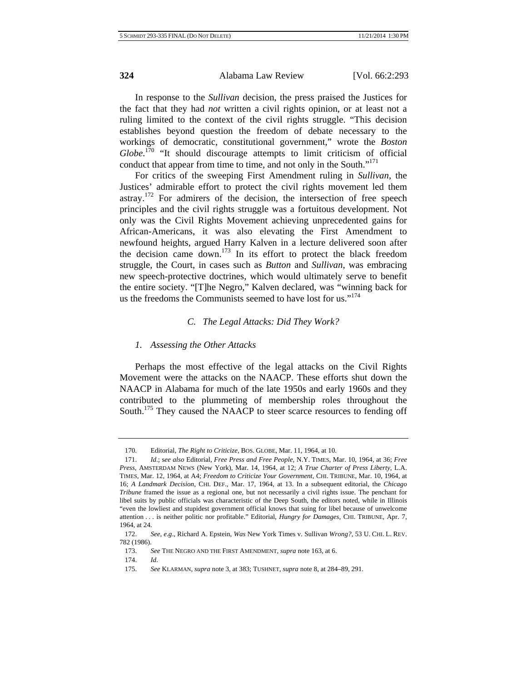In response to the *Sullivan* decision, the press praised the Justices for the fact that they had *not* written a civil rights opinion, or at least not a ruling limited to the context of the civil rights struggle. "This decision establishes beyond question the freedom of debate necessary to the workings of democratic, constitutional government," wrote the *Boston*  Globe.<sup>170</sup> "It should discourage attempts to limit criticism of official conduct that appear from time to time, and not only in the South."<sup>171</sup>

For critics of the sweeping First Amendment ruling in *Sullivan*, the Justices' admirable effort to protect the civil rights movement led them astray.172 For admirers of the decision, the intersection of free speech principles and the civil rights struggle was a fortuitous development. Not only was the Civil Rights Movement achieving unprecedented gains for African-Americans, it was also elevating the First Amendment to newfound heights, argued Harry Kalven in a lecture delivered soon after the decision came down.173 In its effort to protect the black freedom struggle, the Court, in cases such as *Button* and *Sullivan*, was embracing new speech-protective doctrines, which would ultimately serve to benefit the entire society. "[T]he Negro," Kalven declared, was "winning back for us the freedoms the Communists seemed to have lost for us."<sup>174</sup>

### *C. The Legal Attacks: Did They Work?*

#### *1. Assessing the Other Attacks*

Perhaps the most effective of the legal attacks on the Civil Rights Movement were the attacks on the NAACP. These efforts shut down the NAACP in Alabama for much of the late 1950s and early 1960s and they contributed to the plummeting of membership roles throughout the South.<sup>175</sup> They caused the NAACP to steer scarce resources to fending off

<sup>170.</sup> Editorial, *The Right to Criticize*, BOS. GLOBE, Mar. 11, 1964, at 10.

<sup>171.</sup> *Id*.; s*ee also* Editorial, *Free Press and Free People*, N.Y. TIMES, Mar. 10, 1964, at 36; *Free Press*, AMSTERDAM NEWS (New York), Mar. 14, 1964, at 12; *A True Charter of Press Liberty*, L.A. TIMES, Mar. 12, 1964, at A4; *Freedom to Criticize Your Government*, CHI. TRIBUNE, Mar. 10, 1964, at 16; *A Landmark Decision*, CHI. DEF., Mar. 17, 1964, at 13. In a subsequent editorial, the *Chicago Tribune* framed the issue as a regional one, but not necessarily a civil rights issue. The penchant for libel suits by public officials was characteristic of the Deep South, the editors noted, while in Illinois "even the lowliest and stupidest government official knows that suing for libel because of unwelcome attention . . . is neither politic nor profitable." Editorial, *Hungry for Damages*, CHI. TRIBUNE, Apr. 7, 1964, at 24.

<sup>172.</sup> *See, e*.*g*., Richard A. Epstein, *Was* New York Times v. Sullivan *Wrong?*, 53 U. CHI. L. REV. 782 (1986).

<sup>173.</sup> *See* THE NEGRO AND THE FIRST AMENDMENT, *supra* note 163, at 6.

<sup>174.</sup> *Id*.

<sup>175.</sup> *See* KLARMAN, *supra* note 3, at 383; TUSHNET, *supra* note 8, at 284–89, 291.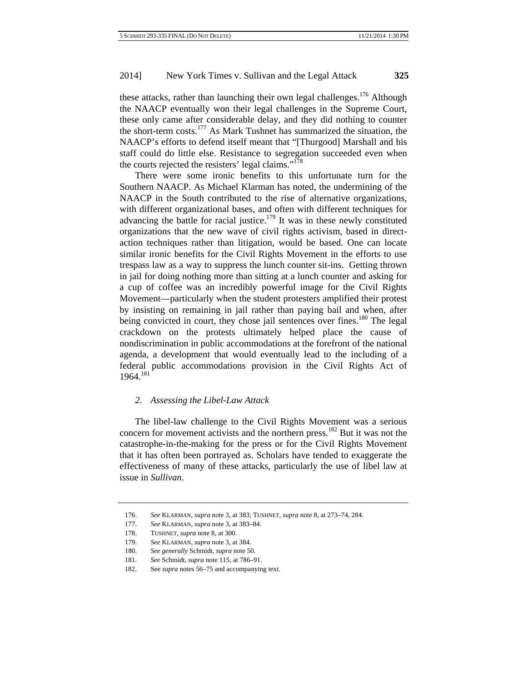these attacks, rather than launching their own legal challenges.<sup>176</sup> Although the NAACP eventually won their legal challenges in the Supreme Court, these only came after considerable delay, and they did nothing to counter the short-term costs.<sup>177</sup> As Mark Tushnet has summarized the situation, the NAACP's efforts to defend itself meant that "[Thurgood] Marshall and his staff could do little else. Resistance to segregation succeeded even when the courts rejected the resisters' legal claims."<sup>178</sup>

There were some ironic benefits to this unfortunate turn for the Southern NAACP. As Michael Klarman has noted, the undermining of the NAACP in the South contributed to the rise of alternative organizations, with different organizational bases, and often with different techniques for advancing the battle for racial justice.<sup>179</sup> It was in these newly constituted organizations that the new wave of civil rights activism, based in directaction techniques rather than litigation, would be based. One can locate similar ironic benefits for the Civil Rights Movement in the efforts to use trespass law as a way to suppress the lunch counter sit-ins. Getting thrown in jail for doing nothing more than sitting at a lunch counter and asking for a cup of coffee was an incredibly powerful image for the Civil Rights Movement—particularly when the student protesters amplified their protest by insisting on remaining in jail rather than paying bail and when, after being convicted in court, they chose jail sentences over fines.<sup>180</sup> The legal crackdown on the protests ultimately helped place the cause of nondiscrimination in public accommodations at the forefront of the national agenda, a development that would eventually lead to the including of a federal public accommodations provision in the Civil Rights Act of 1964.181

# *2. Assessing the Libel-Law Attack*

The libel-law challenge to the Civil Rights Movement was a serious concern for movement activists and the northern press.<sup>182</sup> But it was not the catastrophe-in-the-making for the press or for the Civil Rights Movement that it has often been portrayed as. Scholars have tended to exaggerate the effectiveness of many of these attacks, particularly the use of libel law at issue in *Sullivan*.

<sup>176.</sup> *See* KLARMAN, *supra* note 3, at 383; TUSHNET, *supra* note 8, at 273–74, 284.

<sup>177.</sup> *See* KLARMAN, *supra* note 3, at 383–84.

<sup>178.</sup> TUSHNET, *supra* note 8, at 300.

<sup>179.</sup> *See* KLARMAN, *supra* note 3, at 384.

<sup>180.</sup> *See generally* Schmidt, *supra* note 50.

<sup>181.</sup> *See* Schmidt, *supra* note 115, at 786–91.

<sup>182.</sup> See *supra* notes 56–75 and accompanying text.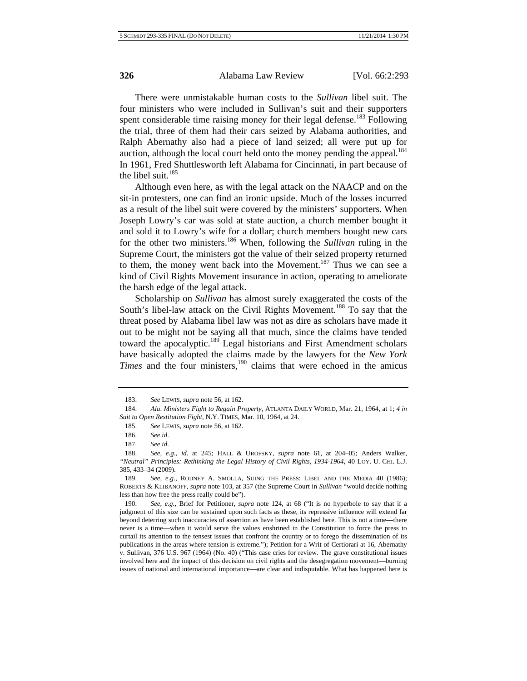There were unmistakable human costs to the *Sullivan* libel suit. The four ministers who were included in Sullivan's suit and their supporters spent considerable time raising money for their legal defense.<sup>183</sup> Following the trial, three of them had their cars seized by Alabama authorities, and Ralph Abernathy also had a piece of land seized; all were put up for auction, although the local court held onto the money pending the appeal.<sup>184</sup> In 1961, Fred Shuttlesworth left Alabama for Cincinnati, in part because of the libel suit. $185$ 

Although even here, as with the legal attack on the NAACP and on the sit-in protesters, one can find an ironic upside. Much of the losses incurred as a result of the libel suit were covered by the ministers' supporters. When Joseph Lowry's car was sold at state auction, a church member bought it and sold it to Lowry's wife for a dollar; church members bought new cars for the other two ministers.186 When, following the *Sullivan* ruling in the Supreme Court, the ministers got the value of their seized property returned to them, the money went back into the Movement.<sup>187</sup> Thus we can see a kind of Civil Rights Movement insurance in action, operating to ameliorate the harsh edge of the legal attack.

Scholarship on *Sullivan* has almost surely exaggerated the costs of the South's libel-law attack on the Civil Rights Movement.<sup>188</sup> To say that the threat posed by Alabama libel law was not as dire as scholars have made it out to be might not be saying all that much, since the claims have tended toward the apocalyptic.<sup>189</sup> Legal historians and First Amendment scholars have basically adopted the claims made by the lawyers for the *New York Times* and the four ministers,  $190$  claims that were echoed in the amicus

<sup>183.</sup> *See* LEWIS, *supra* note 56, at 162.

<sup>184.</sup> *Ala*. *Ministers Fight to Regain Property*, ATLANTA DAILY WORLD, Mar. 21, 1964, at 1; *4 in Suit to Open Restitution Fight*, N.Y. TIMES, Mar. 10, 1964, at 24.

<sup>185.</sup> *See* LEWIS, *supra* note 56, at 162.

<sup>186.</sup> *See id*.

<sup>187.</sup> *See id*.

<sup>188.</sup> *See, e*.*g*., *id*. at 245; HALL & UROFSKY, *supra* note 61, at 204–05; Anders Walker, *"Neutral" Principles: Rethinking the Legal History of Civil Rights, 1934-1964*, 40 LOY. U. CHI. L.J. 385, 433–34 (2009).

<sup>189.</sup> *See, e*.*g*., RODNEY A. SMOLLA, SUING THE PRESS: LIBEL AND THE MEDIA 40 (1986); ROBERTS & KLIBANOFF, *supra* note 103, at 357 (the Supreme Court in *Sullivan* "would decide nothing less than how free the press really could be").

<sup>190.</sup> *See, e*.*g*., Brief for Petitioner, *supra* note 124, at 68 ("It is no hyperbole to say that if a judgment of this size can be sustained upon such facts as these, its repressive influence will extend far beyond deterring such inaccuracies of assertion as have been established here. This is not a time—there never is a time—when it would serve the values enshrined in the Constitution to force the press to curtail its attention to the tensest issues that confront the country or to forego the dissemination of its publications in the areas where tension is extreme."); Petition for a Writ of Certiorari at 16, Abernathy v. Sullivan, 376 U.S. 967 (1964) (No. 40) ("This case cries for review. The grave constitutional issues involved here and the impact of this decision on civil rights and the desegregation movement—burning issues of national and international importance—are clear and indisputable. What has happened here is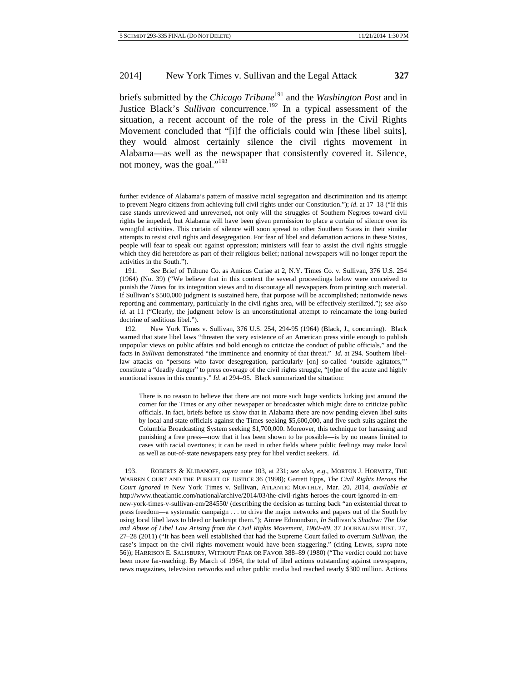briefs submitted by the *Chicago Tribune*<sup>191</sup> and the *Washington Post* and in Justice Black's *Sullivan* concurrence.<sup>192</sup> In a typical assessment of the situation, a recent account of the role of the press in the Civil Rights Movement concluded that "[i]f the officials could win [these libel suits], they would almost certainly silence the civil rights movement in Alabama—as well as the newspaper that consistently covered it. Silence, not money, was the goal."<sup>193</sup>

There is no reason to believe that there are not more such huge verdicts lurking just around the corner for the Times or any other newspaper or broadcaster which might dare to criticize public officials. In fact, briefs before us show that in Alabama there are now pending eleven libel suits by local and state officials against the Times seeking \$5,600,000, and five such suits against the Columbia Broadcasting System seeking \$1,700,000. Moreover, this technique for harassing and punishing a free press—now that it has been shown to be possible—is by no means limited to cases with racial overtones; it can be used in other fields where public feelings may make local as well as out-of-state newspapers easy prey for libel verdict seekers. *Id.*

193. ROBERTS & KLIBANOFF, *supra* note 103, at 231; *see also, e*.*g*., MORTON J. HORWITZ, THE WARREN COURT AND THE PURSUIT OF JUSTICE 36 (1998); Garrett Epps, *The Civil Rights Heroes the Court Ignored in* New York Times v. Sullivan, ATLANTIC MONTHLY, Mar. 20, 2014, *available at* http://www.theatlantic.com/national/archive/2014/03/the-civil-rights-heroes-the-court-ignored-in-emnew-york-times-v-sullivan-em/284550/ (describing the decision as turning back "an existential threat to press freedom—a systematic campaign . . . to drive the major networks and papers out of the South by using local libel laws to bleed or bankrupt them."); Aimee Edmondson, *In* Sullivan's *Shadow: The Use and Abuse of Libel Law Arising from the Civil Rights Movement, 1960–89*, 37 JOURNALISM HIST. 27, 27–28 (2011) ("It has been well established that had the Supreme Court failed to overturn *Sullivan*, the case's impact on the civil rights movement would have been staggering." (citing LEWIS, *supra* note 56)); HARRISON E. SALISBURY, WITHOUT FEAR OR FAVOR 388–89 (1980) ("The verdict could not have been more far-reaching. By March of 1964, the total of libel actions outstanding against newspapers, news magazines, television networks and other public media had reached nearly \$300 million. Actions

further evidence of Alabama's pattern of massive racial segregation and discrimination and its attempt to prevent Negro citizens from achieving full civil rights under our Constitution."); *id*. at 17–18 ("If this case stands unreviewed and unreversed, not only will the struggles of Southern Negroes toward civil rights be impeded, but Alabama will have been given permission to place a curtain of silence over its wrongful activities. This curtain of silence will soon spread to other Southern States in their similar attempts to resist civil rights and desegregation. For fear of libel and defamation actions in these States, people will fear to speak out against oppression; ministers will fear to assist the civil rights struggle which they did heretofore as part of their religious belief; national newspapers will no longer report the activities in the South.").

<sup>191.</sup> *See* Brief of Tribune Co. as Amicus Curiae at 2, N.Y. Times Co. v. Sullivan, 376 U.S. 254 (1964) (No. 39) ("We believe that in this context the several proceedings below were conceived to punish the *Times* for its integration views and to discourage all newspapers from printing such material. If Sullivan's \$500,000 judgment is sustained here, that purpose will be accomplished; nationwide news reporting and commentary, particularly in the civil rights area, will be effectively sterilized."); s*ee also id*. at 11 ("Clearly, the judgment below is an unconstitutional attempt to reincarnate the long-buried doctrine of seditious libel.").

<sup>192.</sup> New York Times v. Sullivan, 376 U.S. 254, 294-95 (1964) (Black, J., concurring). Black warned that state libel laws "threaten the very existence of an American press virile enough to publish unpopular views on public affairs and bold enough to criticize the conduct of public officials," and the facts in *Sullivan* demonstrated "the imminence and enormity of that threat." *Id.* at 294. Southern libellaw attacks on "persons who favor desegregation, particularly [on] so-called 'outside agitators,'" constitute a "deadly danger" to press coverage of the civil rights struggle, "[o]ne of the acute and highly emotional issues in this country." *Id*. at 294–95. Black summarized the situation: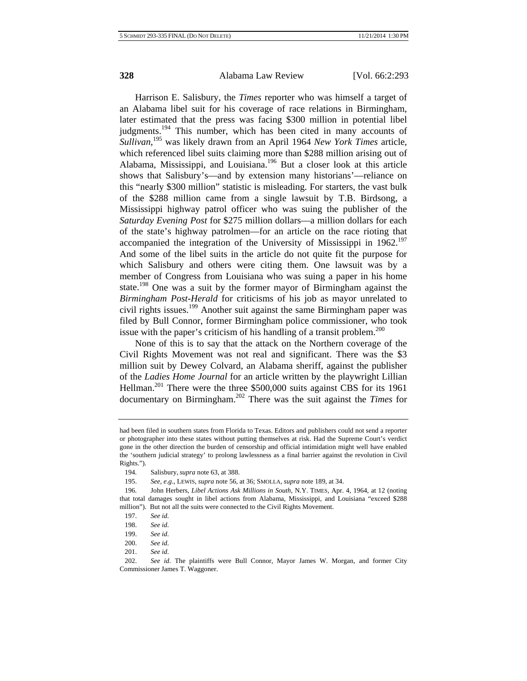Harrison E. Salisbury, the *Times* reporter who was himself a target of an Alabama libel suit for his coverage of race relations in Birmingham, later estimated that the press was facing \$300 million in potential libel judgments.<sup>194</sup> This number, which has been cited in many accounts of *Sullivan*, 195 was likely drawn from an April 1964 *New York Times* article, which referenced libel suits claiming more than \$288 million arising out of Alabama, Mississippi, and Louisiana.196 But a closer look at this article shows that Salisbury's—and by extension many historians'—reliance on this "nearly \$300 million" statistic is misleading. For starters, the vast bulk of the \$288 million came from a single lawsuit by T.B. Birdsong, a Mississippi highway patrol officer who was suing the publisher of the *Saturday Evening Post* for \$275 million dollars—a million dollars for each of the state's highway patrolmen—for an article on the race rioting that accompanied the integration of the University of Mississippi in  $1962$ <sup>197</sup> And some of the libel suits in the article do not quite fit the purpose for which Salisbury and others were citing them. One lawsuit was by a member of Congress from Louisiana who was suing a paper in his home state.198 One was a suit by the former mayor of Birmingham against the *Birmingham Post-Herald* for criticisms of his job as mayor unrelated to civil rights issues.<sup>199</sup> Another suit against the same Birmingham paper was filed by Bull Connor, former Birmingham police commissioner, who took issue with the paper's criticism of his handling of a transit problem.<sup>200</sup>

None of this is to say that the attack on the Northern coverage of the Civil Rights Movement was not real and significant. There was the \$3 million suit by Dewey Colvard, an Alabama sheriff, against the publisher of the *Ladies Home Journal* for an article written by the playwright Lillian Hellman.<sup>201</sup> There were the three \$500,000 suits against CBS for its 1961 documentary on Birmingham.202 There was the suit against the *Times* for

195. *See, e*.*g*., LEWIS, *supra* note 56, at 36; SMOLLA, *supra* note 189, at 34.

201. *See id*.

had been filed in southern states from Florida to Texas. Editors and publishers could not send a reporter or photographer into these states without putting themselves at risk. Had the Supreme Court's verdict gone in the other direction the burden of censorship and official intimidation might well have enabled the 'southern judicial strategy' to prolong lawlessness as a final barrier against the revolution in Civil Rights.").

<sup>194.</sup> Salisbury, *supra* note 63, at 388.

<sup>196.</sup> John Herbers, *Libel Actions Ask Millions in South*, N.Y. TIMES, Apr. 4, 1964, at 12 (noting that total damages sought in libel actions from Alabama, Mississippi, and Louisiana "exceed \$288 million"). But not all the suits were connected to the Civil Rights Movement.

<sup>197.</sup> *See id*.

<sup>198.</sup> *See id*.

<sup>199.</sup> *See id*.

<sup>200.</sup> *See id*.

<sup>202.</sup> *See id*. The plaintiffs were Bull Connor, Mayor James W. Morgan, and former City Commissioner James T. Waggoner.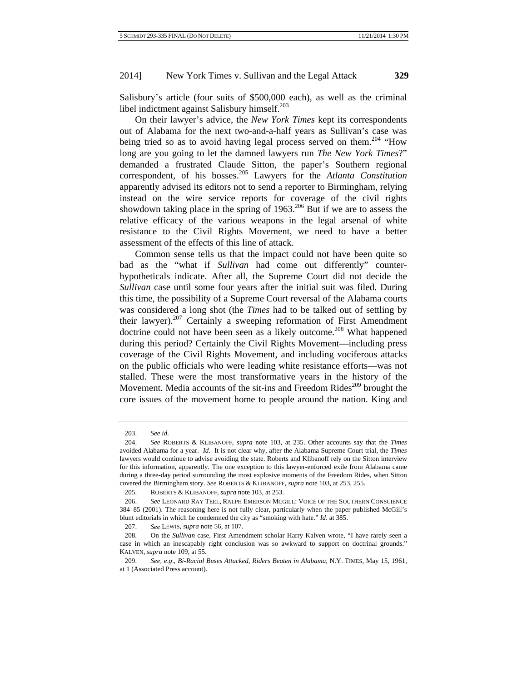Salisbury's article (four suits of \$500,000 each), as well as the criminal libel indictment against Salisbury himself.<sup>203</sup>

On their lawyer's advice, the *New York Times* kept its correspondents out of Alabama for the next two-and-a-half years as Sullivan's case was being tried so as to avoid having legal process served on them.<sup>204</sup> "How long are you going to let the damned lawyers run *The New York Times*?" demanded a frustrated Claude Sitton, the paper's Southern regional correspondent, of his bosses.205 Lawyers for the *Atlanta Constitution* apparently advised its editors not to send a reporter to Birmingham, relying instead on the wire service reports for coverage of the civil rights showdown taking place in the spring of  $1963$ .<sup>206</sup> But if we are to assess the relative efficacy of the various weapons in the legal arsenal of white resistance to the Civil Rights Movement, we need to have a better assessment of the effects of this line of attack.

Common sense tells us that the impact could not have been quite so bad as the "what if *Sullivan* had come out differently" counterhypotheticals indicate. After all, the Supreme Court did not decide the *Sullivan* case until some four years after the initial suit was filed. During this time, the possibility of a Supreme Court reversal of the Alabama courts was considered a long shot (the *Times* had to be talked out of settling by their lawyer).<sup>207</sup> Certainly a sweeping reformation of First Amendment doctrine could not have been seen as a likely outcome.<sup>208</sup> What happened during this period? Certainly the Civil Rights Movement—including press coverage of the Civil Rights Movement, and including vociferous attacks on the public officials who were leading white resistance efforts—was not stalled. These were the most transformative years in the history of the Movement. Media accounts of the sit-ins and Freedom Rides<sup>209</sup> brought the core issues of the movement home to people around the nation. King and

<sup>203.</sup> *See id*.

<sup>204.</sup> *See* ROBERTS & KLIBANOFF, *supra* note 103, at 235. Other accounts say that the *Times* avoided Alabama for a year. *Id*. It is not clear why, after the Alabama Supreme Court trial, the *Times* lawyers would continue to advise avoiding the state. Roberts and Klibanoff rely on the Sitton interview for this information, apparently. The one exception to this lawyer-enforced exile from Alabama came during a three-day period surrounding the most explosive moments of the Freedom Rides, when Sitton covered the Birmingham story. *See* ROBERTS & KLIBANOFF, *supra* note 103, at 253, 255.

<sup>205.</sup> ROBERTS & KLIBANOFF, *supra* note 103, at 253.

<sup>206.</sup> *See* LEONARD RAY TEEL, RALPH EMERSON MCGILL: VOICE OF THE SOUTHERN CONSCIENCE 384–85 (2001). The reasoning here is not fully clear, particularly when the paper published McGill's blunt editorials in which he condemned the city as "smoking with hate." *Id*. at 385.

<sup>207.</sup> *See* LEWIS, *supra* note 56, at 107.

<sup>208.</sup> On the *Sullivan* case, First Amendment scholar Harry Kalven wrote, "I have rarely seen a case in which an inescapably right conclusion was so awkward to support on doctrinal grounds." KALVEN, *supra* note 109, at 55.

<sup>209.</sup> *See, e*.*g*., *Bi-Racial Buses Attacked, Riders Beaten in Alabama*, N.Y. TIMES, May 15, 1961, at 1 (Associated Press account).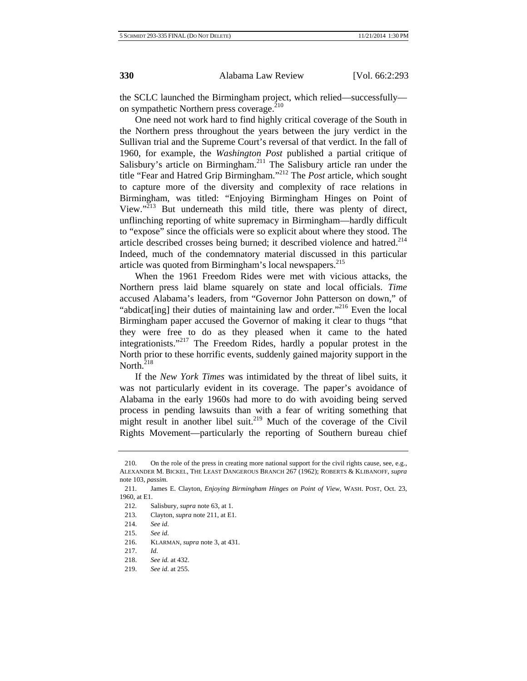the SCLC launched the Birmingham project, which relied—successfully on sympathetic Northern press coverage.<sup>210</sup>

One need not work hard to find highly critical coverage of the South in the Northern press throughout the years between the jury verdict in the Sullivan trial and the Supreme Court's reversal of that verdict. In the fall of 1960, for example, the *Washington Post* published a partial critique of Salisbury's article on Birmingham.<sup>211</sup> The Salisbury article ran under the title "Fear and Hatred Grip Birmingham."212 The *Post* article, which sought to capture more of the diversity and complexity of race relations in Birmingham, was titled: "Enjoying Birmingham Hinges on Point of View."213 But underneath this mild title, there was plenty of direct, unflinching reporting of white supremacy in Birmingham—hardly difficult to "expose" since the officials were so explicit about where they stood. The article described crosses being burned; it described violence and hatred.<sup>214</sup> Indeed, much of the condemnatory material discussed in this particular article was quoted from Birmingham's local newspapers.<sup>215</sup>

When the 1961 Freedom Rides were met with vicious attacks, the Northern press laid blame squarely on state and local officials. *Time*  accused Alabama's leaders, from "Governor John Patterson on down," of "abdicat[ing] their duties of maintaining law and order."<sup>216</sup> Even the local Birmingham paper accused the Governor of making it clear to thugs "that they were free to do as they pleased when it came to the hated integrationists."217 The Freedom Rides, hardly a popular protest in the North prior to these horrific events, suddenly gained majority support in the North. $218$ 

If the *New York Times* was intimidated by the threat of libel suits, it was not particularly evident in its coverage. The paper's avoidance of Alabama in the early 1960s had more to do with avoiding being served process in pending lawsuits than with a fear of writing something that might result in another libel suit.<sup>219</sup> Much of the coverage of the Civil Rights Movement—particularly the reporting of Southern bureau chief

<sup>210.</sup> On the role of the press in creating more national support for the civil rights cause, see, e.g., ALEXANDER M. BICKEL, THE LEAST DANGEROUS BRANCH 267 (1962); ROBERTS & KLIBANOFF, *supra*  note 103, *passim*.

<sup>211.</sup> James E. Clayton, *Enjoying Birmingham Hinges on Point of View*, WASH. POST, Oct. 23, 1960, at E1.

<sup>212.</sup> Salisbury, *supra* note 63, at 1.

<sup>213.</sup> Clayton, *supra* note 211, at E1.

<sup>214.</sup> *See id*.

<sup>215.</sup> *See id*.

<sup>216.</sup> KLARMAN, *supra* note 3, at 431.

<sup>217.</sup> *Id*.

<sup>218.</sup> *See id.* at 432.

<sup>219.</sup> *See id*. at 255.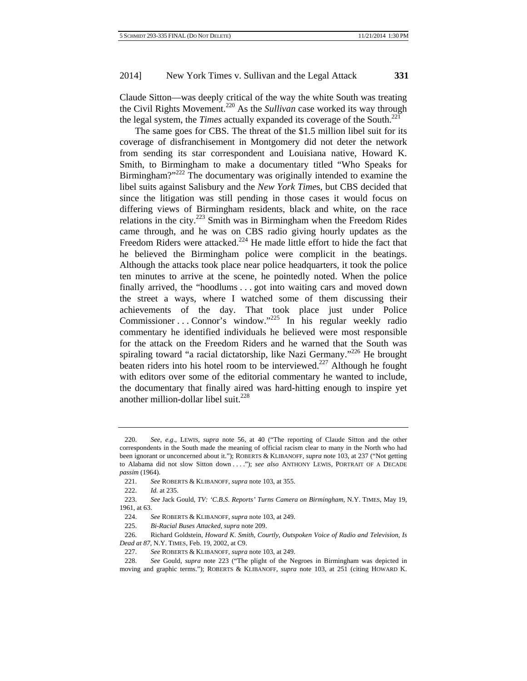Claude Sitton—was deeply critical of the way the white South was treating the Civil Rights Movement.220 As the *Sullivan* case worked its way through the legal system, the *Times* actually expanded its coverage of the South.<sup>221</sup>

The same goes for CBS. The threat of the \$1.5 million libel suit for its coverage of disfranchisement in Montgomery did not deter the network from sending its star correspondent and Louisiana native, Howard K. Smith, to Birmingham to make a documentary titled "Who Speaks for Birmingham?"<sup>222</sup> The documentary was originally intended to examine the libel suits against Salisbury and the *New York Time*s, but CBS decided that since the litigation was still pending in those cases it would focus on differing views of Birmingham residents, black and white, on the race relations in the city.<sup> $223$ </sup> Smith was in Birmingham when the Freedom Rides came through, and he was on CBS radio giving hourly updates as the Freedom Riders were attacked. $224$  He made little effort to hide the fact that he believed the Birmingham police were complicit in the beatings. Although the attacks took place near police headquarters, it took the police ten minutes to arrive at the scene, he pointedly noted. When the police finally arrived, the "hoodlums . . . got into waiting cars and moved down the street a ways, where I watched some of them discussing their achievements of the day. That took place just under Police Commissioner . . . Connor's window."<sup>225</sup> In his regular weekly radio commentary he identified individuals he believed were most responsible for the attack on the Freedom Riders and he warned that the South was spiraling toward "a racial dictatorship, like Nazi Germany."<sup>226</sup> He brought beaten riders into his hotel room to be interviewed.<sup>227</sup> Although he fought with editors over some of the editorial commentary he wanted to include, the documentary that finally aired was hard-hitting enough to inspire yet another million-dollar libel suit. $^{228}$ 

<sup>220.</sup> *See, e*.*g*., LEWIS, *supra* note 56, at 40 ("The reporting of Claude Sitton and the other correspondents in the South made the meaning of official racism clear to many in the North who had been ignorant or unconcerned about it."); ROBERTS & KLIBANOFF, *supra* note 103, at 237 ("Not getting to Alabama did not slow Sitton down . . . ."); *see also* ANTHONY LEWIS, PORTRAIT OF A DECADE *passim* (1964).

<sup>221.</sup> *See* ROBERTS & KLIBANOFF, *supra* note 103, at 355.

<sup>222.</sup> *Id.* at 235.

<sup>223.</sup> *See* Jack Gould, *TV: 'C*.*B*.*S*. *Reports' Turns Camera on Birmingham*, N.Y. TIMES, May 19, 1961, at 63.

<sup>224.</sup> *See* ROBERTS & KLIBANOFF, *supra* note 103, at 249.

<sup>225.</sup> *Bi-Racial Buses Attacked, supra* note 209.

<sup>226.</sup> Richard Goldstein, *Howard K*. *Smith, Courtly, Outspoken Voice of Radio and Television, Is Dead at 87*, N.Y. TIMES, Feb. 19, 2002, at C9.

<sup>227.</sup> *See* ROBERTS & KLIBANOFF, *supra* note 103, at 249.

<sup>228.</sup> *See* Gould, *supra* note 223 ("The plight of the Negroes in Birmingham was depicted in moving and graphic terms."); ROBERTS & KLIBANOFF, *supra* note 103, at 251 (citing HOWARD K.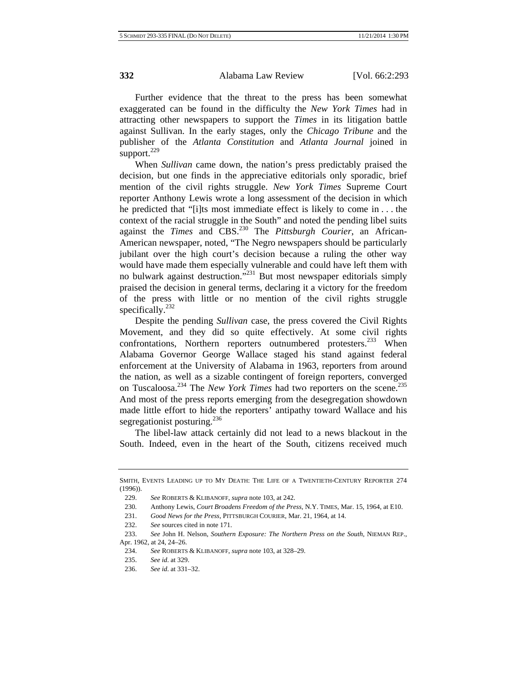Further evidence that the threat to the press has been somewhat exaggerated can be found in the difficulty the *New York Times* had in attracting other newspapers to support the *Times* in its litigation battle against Sullivan. In the early stages, only the *Chicago Tribune* and the publisher of the *Atlanta Constitution* and *Atlanta Journal* joined in support. $229$ 

When *Sullivan* came down, the nation's press predictably praised the decision, but one finds in the appreciative editorials only sporadic, brief mention of the civil rights struggle. *New York Times* Supreme Court reporter Anthony Lewis wrote a long assessment of the decision in which he predicted that "[i]ts most immediate effect is likely to come in . . . the context of the racial struggle in the South" and noted the pending libel suits against the *Times* and CBS.<sup>230</sup> The *Pittsburgh Courier*, an African-American newspaper, noted, "The Negro newspapers should be particularly jubilant over the high court's decision because a ruling the other way would have made them especially vulnerable and could have left them with no bulwark against destruction."<sup>231</sup> But most newspaper editorials simply praised the decision in general terms, declaring it a victory for the freedom of the press with little or no mention of the civil rights struggle specifically.<sup>232</sup>

Despite the pending *Sullivan* case, the press covered the Civil Rights Movement, and they did so quite effectively. At some civil rights confrontations, Northern reporters outnumbered protesters.<sup>233</sup> When Alabama Governor George Wallace staged his stand against federal enforcement at the University of Alabama in 1963, reporters from around the nation, as well as a sizable contingent of foreign reporters, converged on Tuscaloosa.234 The *New York Times* had two reporters on the scene.235 And most of the press reports emerging from the desegregation showdown made little effort to hide the reporters' antipathy toward Wallace and his segregationist posturing. $^{236}$ 

The libel-law attack certainly did not lead to a news blackout in the South. Indeed, even in the heart of the South, citizens received much

SMITH, EVENTS LEADING UP TO MY DEATH: THE LIFE OF A TWENTIETH-CENTURY REPORTER 274 (1996)).

<sup>229.</sup> *See* ROBERTS & KLIBANOFF, *supra* note 103, at 242.

<sup>230.</sup> Anthony Lewis, *Court Broadens Freedom of the Press*, N.Y. TIMES, Mar. 15, 1964, at E10.

<sup>231.</sup> *Good News for the Press*, PITTSBURGH COURIER, Mar. 21, 1964, at 14.

<sup>232.</sup> *See* sources cited in note 171.

<sup>233.</sup> *See* John H. Nelson, *Southern Exposure: The Northern Press on the South*, NIEMAN REP., Apr. 1962, at 24, 24–26.

<sup>234.</sup> *See* ROBERTS & KLIBANOFF, *supra* note 103, at 328–29.

<sup>235.</sup> *See id*. at 329.

<sup>236.</sup> *See id*. at 331–32.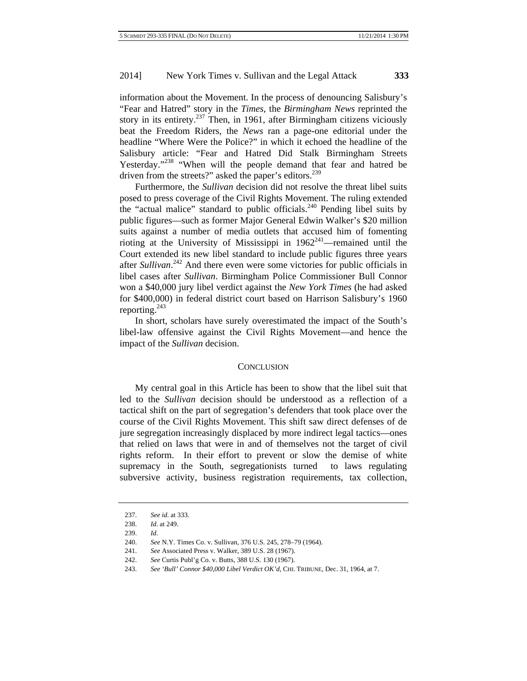information about the Movement. In the process of denouncing Salisbury's "Fear and Hatred" story in the *Times*, the *Birmingham News* reprinted the story in its entirety.<sup>237</sup> Then, in 1961, after Birmingham citizens viciously beat the Freedom Riders, the *News* ran a page-one editorial under the headline "Where Were the Police?" in which it echoed the headline of the Salisbury article: "Fear and Hatred Did Stalk Birmingham Streets Yesterday."<sup>238</sup> "When will the people demand that fear and hatred be driven from the streets?" asked the paper's editors. $^{239}$ 

Furthermore, the *Sullivan* decision did not resolve the threat libel suits posed to press coverage of the Civil Rights Movement. The ruling extended the "actual malice" standard to public officials.<sup>240</sup> Pending libel suits by public figures—such as former Major General Edwin Walker's \$20 million suits against a number of media outlets that accused him of fomenting rioting at the University of Mississippi in  $1962^{241}$ —remained until the Court extended its new libel standard to include public figures three years after *Sullivan*. 242 And there even were some victories for public officials in libel cases after *Sullivan*. Birmingham Police Commissioner Bull Connor won a \$40,000 jury libel verdict against the *New York Times* (he had asked for \$400,000) in federal district court based on Harrison Salisbury's 1960 reporting. $243$ 

In short, scholars have surely overestimated the impact of the South's libel-law offensive against the Civil Rights Movement—and hence the impact of the *Sullivan* decision.

#### **CONCLUSION**

My central goal in this Article has been to show that the libel suit that led to the *Sullivan* decision should be understood as a reflection of a tactical shift on the part of segregation's defenders that took place over the course of the Civil Rights Movement. This shift saw direct defenses of de jure segregation increasingly displaced by more indirect legal tactics—ones that relied on laws that were in and of themselves not the target of civil rights reform. In their effort to prevent or slow the demise of white supremacy in the South, segregationists turned to laws regulating subversive activity, business registration requirements, tax collection,

<sup>237.</sup> *See id*. at 333.

<sup>238.</sup> *Id*. at 249.

<sup>239.</sup> *Id*.

<sup>240.</sup> *See* N.Y. Times Co. v. Sullivan, 376 U.S. 245, 278–79 (1964).

<sup>241.</sup> *See* Associated Press v. Walker, 389 U.S. 28 (1967).

<sup>242.</sup> *See* Curtis Publ'g Co. v. Butts, 388 U.S. 130 (1967).

<sup>243.</sup> *See 'Bull' Connor \$40,000 Libel Verdict OK'd*, CHI. TRIBUNE, Dec. 31, 1964, at 7.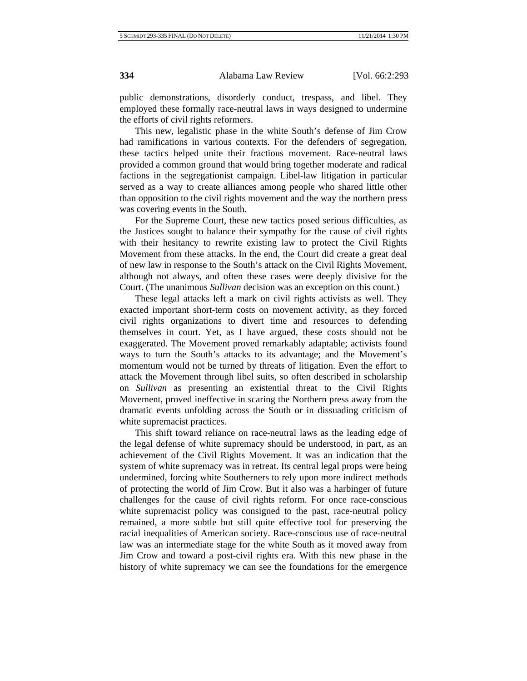public demonstrations, disorderly conduct, trespass, and libel. They employed these formally race-neutral laws in ways designed to undermine the efforts of civil rights reformers.

This new, legalistic phase in the white South's defense of Jim Crow had ramifications in various contexts. For the defenders of segregation, these tactics helped unite their fractious movement. Race-neutral laws provided a common ground that would bring together moderate and radical factions in the segregationist campaign. Libel-law litigation in particular served as a way to create alliances among people who shared little other than opposition to the civil rights movement and the way the northern press was covering events in the South.

For the Supreme Court, these new tactics posed serious difficulties, as the Justices sought to balance their sympathy for the cause of civil rights with their hesitancy to rewrite existing law to protect the Civil Rights Movement from these attacks. In the end, the Court did create a great deal of new law in response to the South's attack on the Civil Rights Movement, although not always, and often these cases were deeply divisive for the Court. (The unanimous *Sullivan* decision was an exception on this count.)

These legal attacks left a mark on civil rights activists as well. They exacted important short-term costs on movement activity, as they forced civil rights organizations to divert time and resources to defending themselves in court. Yet, as I have argued, these costs should not be exaggerated. The Movement proved remarkably adaptable; activists found ways to turn the South's attacks to its advantage; and the Movement's momentum would not be turned by threats of litigation. Even the effort to attack the Movement through libel suits, so often described in scholarship on *Sullivan* as presenting an existential threat to the Civil Rights Movement, proved ineffective in scaring the Northern press away from the dramatic events unfolding across the South or in dissuading criticism of white supremacist practices.

This shift toward reliance on race-neutral laws as the leading edge of the legal defense of white supremacy should be understood, in part, as an achievement of the Civil Rights Movement. It was an indication that the system of white supremacy was in retreat. Its central legal props were being undermined, forcing white Southerners to rely upon more indirect methods of protecting the world of Jim Crow. But it also was a harbinger of future challenges for the cause of civil rights reform. For once race-conscious white supremacist policy was consigned to the past, race-neutral policy remained, a more subtle but still quite effective tool for preserving the racial inequalities of American society. Race-conscious use of race-neutral law was an intermediate stage for the white South as it moved away from Jim Crow and toward a post-civil rights era. With this new phase in the history of white supremacy we can see the foundations for the emergence